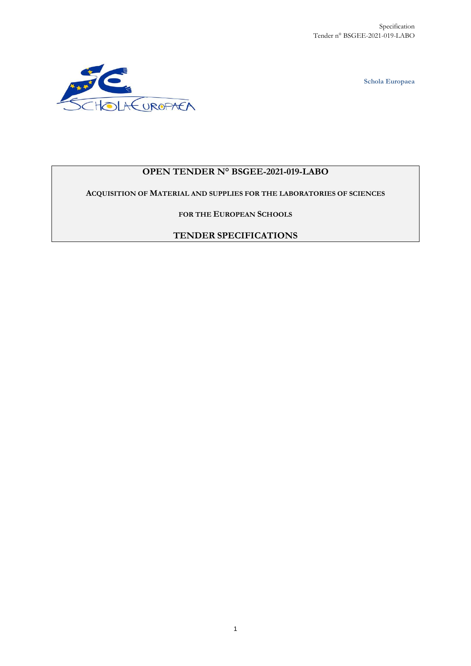**Schola Europaea**



# **OPEN TENDER N° BSGEE-2021-019-LABO**

**ACQUISITION OF MATERIAL AND SUPPLIES FOR THE LABORATORIES OF SCIENCES**

**FOR THE EUROPEAN SCHOOLS**

**TENDER SPECIFICATIONS**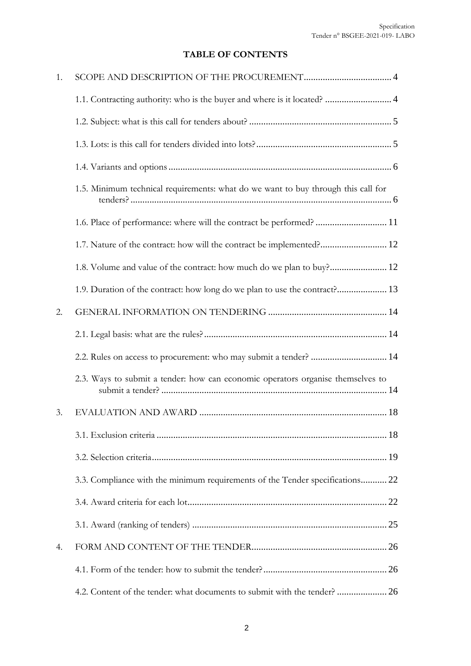# **TABLE OF CONTENTS**

| 1. |                                                                                   |
|----|-----------------------------------------------------------------------------------|
|    | 1.1. Contracting authority: who is the buyer and where is it located?  4          |
|    |                                                                                   |
|    |                                                                                   |
|    |                                                                                   |
|    | 1.5. Minimum technical requirements: what do we want to buy through this call for |
|    | 1.6. Place of performance: where will the contract be performed?  11              |
|    | 1.7. Nature of the contract: how will the contract be implemented? 12             |
|    | 1.8. Volume and value of the contract: how much do we plan to buy? 12             |
|    | 1.9. Duration of the contract: how long do we plan to use the contract? 13        |
| 2. |                                                                                   |
|    |                                                                                   |
|    | 2.2. Rules on access to procurement: who may submit a tender?  14                 |
|    | 2.3. Ways to submit a tender: how can economic operators organise themselves to   |
| 3. |                                                                                   |
|    |                                                                                   |
|    |                                                                                   |
|    | 3.3. Compliance with the minimum requirements of the Tender specifications 22     |
|    |                                                                                   |
|    |                                                                                   |
| 4. |                                                                                   |
|    |                                                                                   |
|    | 4.2. Content of the tender: what documents to submit with the tender? 26          |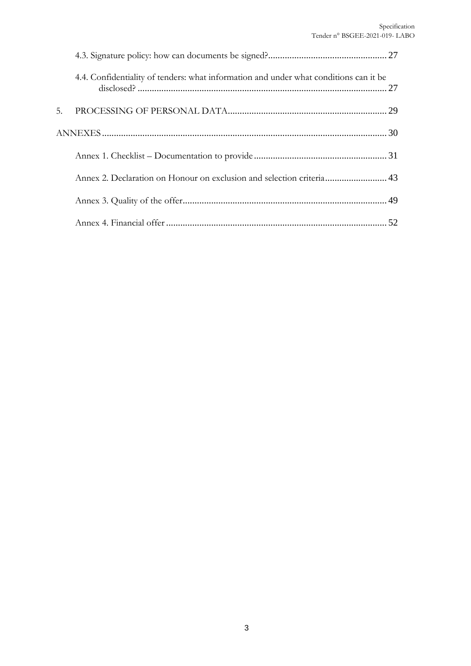|    | 4.4. Confidentiality of tenders: what information and under what conditions can it be |  |
|----|---------------------------------------------------------------------------------------|--|
| 5. |                                                                                       |  |
|    |                                                                                       |  |
|    |                                                                                       |  |
|    | Annex 2. Declaration on Honour on exclusion and selection criteria 43                 |  |
|    |                                                                                       |  |
|    |                                                                                       |  |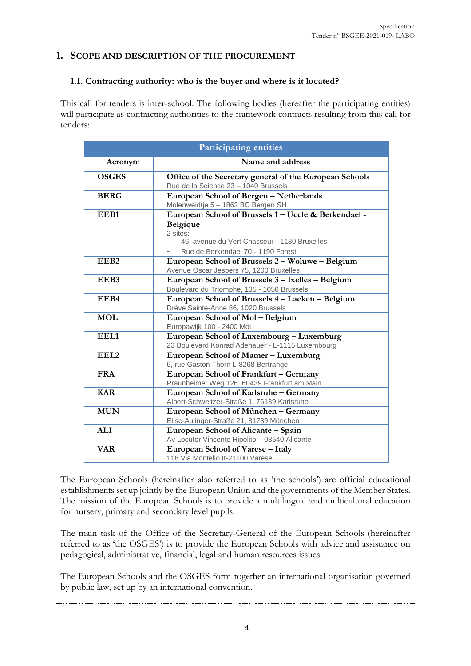### <span id="page-3-0"></span>**1. SCOPE AND DESCRIPTION OF THE PROCUREMENT**

#### <span id="page-3-1"></span>**1.1. Contracting authority: who is the buyer and where is it located?**

This call for tenders is inter-school. The following bodies (hereafter the participating entities) will participate as contracting authorities to the framework contracts resulting from this call for tenders:

| <b>Participating entities</b>                     |                                                         |  |
|---------------------------------------------------|---------------------------------------------------------|--|
| Acronym                                           | Name and address                                        |  |
| <b>OSGES</b>                                      | Office of the Secretary general of the European Schools |  |
|                                                   | Rue de la Science 23 - 1040 Brussels                    |  |
| <b>BERG</b>                                       | European School of Bergen - Netherlands                 |  |
|                                                   | Molenweidtje 5 - 1862 BC Bergen SH                      |  |
| EEB1                                              | European School of Brussels 1 - Uccle & Berkendael -    |  |
|                                                   | <b>Belgique</b>                                         |  |
|                                                   | 2 sites:                                                |  |
|                                                   | 46, avenue du Vert Chasseur - 1180 Bruxelles            |  |
|                                                   | Rue de Berkendael 70 - 1190 Forest                      |  |
| EEB <sub>2</sub>                                  | European School of Brussels 2 - Woluwe - Belgium        |  |
|                                                   | Avenue Oscar Jespers 75, 1200 Bruxelles                 |  |
| EEB3                                              | European School of Brussels 3 - Ixelles - Belgium       |  |
|                                                   | Boulevard du Triomphe, 135 - 1050 Brussels              |  |
| EEB4                                              | European School of Brussels 4 - Laeken - Belgium        |  |
|                                                   | Drève Sainte-Anne 86, 1020 Brussels                     |  |
| <b>MOL</b>                                        | European School of Mol-Belgium                          |  |
|                                                   | Europawijk 100 - 2400 Mol                               |  |
| EEL1<br>European School of Luxembourg – Luxemburg |                                                         |  |
|                                                   | 23 Boulevard Konrad Adenauer - L-1115 Luxembourg        |  |
| EEL <sub>2</sub>                                  | European School of Mamer - Luxemburg                    |  |
|                                                   | 6, rue Gaston Thorn L-8268 Bertrange                    |  |
| <b>FRA</b>                                        | European School of Frankfurt - Germany                  |  |
|                                                   | Praunheimer Weg 126, 60439 Frankfurt am Main            |  |
| <b>KAR</b>                                        | European School of Karlsruhe - Germany                  |  |
|                                                   | Albert-Schweitzer-Straße 1, 76139 Karlsruhe             |  |
| <b>MUN</b>                                        | European School of München - Germany                    |  |
|                                                   | Elise-Aulinger-Straße 21, 81739 München                 |  |
| <b>ALI</b>                                        | European School of Alicante – Spain                     |  |
|                                                   | Av Locutor Vincente Hipolito - 03540 Alicante           |  |
| <b>VAR</b><br>European School of Varese - Italy   |                                                         |  |
|                                                   | 118 Via Montello It-21100 Varese                        |  |

The European Schools (hereinafter also referred to as 'the schools') are official educational establishments set up jointly by the European Union and the governments of the Member States. The mission of the European Schools is to provide a multilingual and multicultural education for nursery, primary and secondary level pupils.

The main task of the Office of the Secretary-General of the European Schools (hereinafter referred to as 'the OSGES') is to provide the European Schools with advice and assistance on pedagogical, administrative, financial, legal and human resources issues.

The European Schools and the OSGES form together an international organisation governed by public law, set up by an international convention.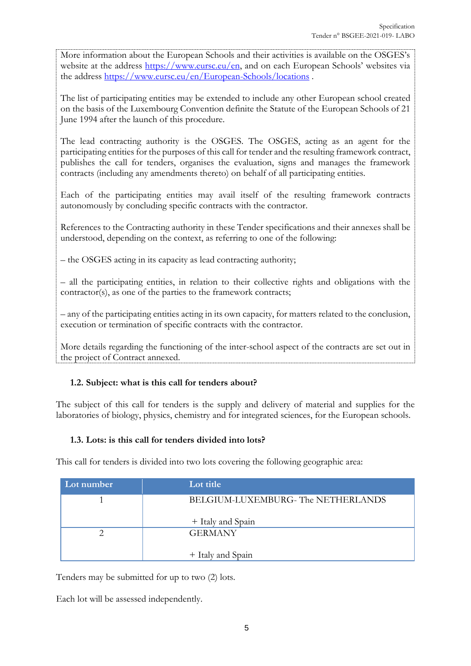More information about the European Schools and their activities is available on the OSGES's website at the address<https://www.eursc.eu/en>, and on each European Schools' websites via the address <https://www.eursc.eu/en/European-Schools/locations> .

The list of participating entities may be extended to include any other European school created on the basis of the Luxembourg Convention definite the Statute of the European Schools of 21 June 1994 after the launch of this procedure.

The lead contracting authority is the OSGES. The OSGES, acting as an agent for the participating entities for the purposes of this call for tender and the resulting framework contract, publishes the call for tenders, organises the evaluation, signs and manages the framework contracts (including any amendments thereto) on behalf of all participating entities.

Each of the participating entities may avail itself of the resulting framework contracts autonomously by concluding specific contracts with the contractor.

References to the Contracting authority in these Tender specifications and their annexes shall be understood, depending on the context, as referring to one of the following:

– the OSGES acting in its capacity as lead contracting authority;

– all the participating entities, in relation to their collective rights and obligations with the contractor(s), as one of the parties to the framework contracts;

– any of the participating entities acting in its own capacity, for matters related to the conclusion, execution or termination of specific contracts with the contractor.

More details regarding the functioning of the inter-school aspect of the contracts are set out in the project of Contract annexed.

#### <span id="page-4-0"></span>**1.2. Subject: what is this call for tenders about?**

The subject of this call for tenders is the supply and delivery of material and supplies for the laboratories of biology, physics, chemistry and for integrated sciences, for the European schools.

#### <span id="page-4-1"></span>**1.3. Lots: is this call for tenders divided into lots?**

This call for tenders is divided into two lots covering the following geographic area:

| Lot number | Lot title                         |
|------------|-----------------------------------|
|            | BELGIUM-LUXEMBURG-The NETHERLANDS |
|            | + Italy and Spain                 |
|            | <b>GERMANY</b>                    |
|            | + Italy and Spain                 |

Tenders may be submitted for up to two (2) lots.

Each lot will be assessed independently.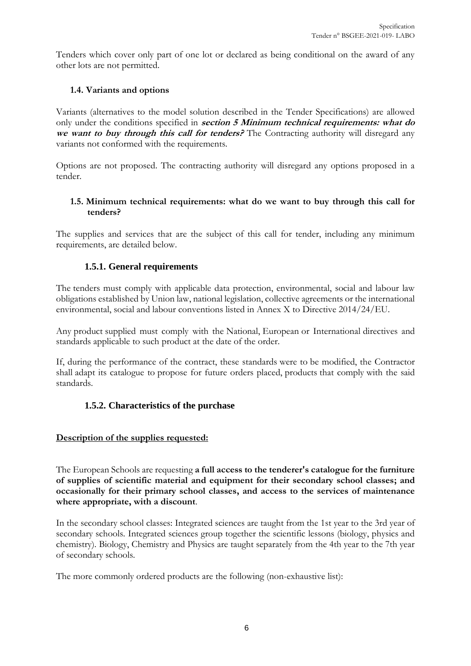Tenders which cover only part of one lot or declared as being conditional on the award of any other lots are not permitted.

#### <span id="page-5-0"></span>**1.4. Variants and options**

Variants (alternatives to the model solution described in the Tender Specifications) are allowed only under the conditions specified in **section 5 Minimum technical requirements: what do we want to buy through this call for tenders?** The Contracting authority will disregard any variants not conformed with the requirements.

Options are not proposed. The contracting authority will disregard any options proposed in a tender.

#### <span id="page-5-1"></span>**1.5. Minimum technical requirements: what do we want to buy through this call for tenders?**

The supplies and services that are the subject of this call for tender, including any minimum requirements, are detailed below.

#### **1.5.1. General requirements**

The tenders must comply with applicable data protection, environmental, social and labour law obligations established by Union law, national legislation, collective agreements or the international environmental, social and labour conventions listed in Annex X to Directive 2014/24/EU.

Any product supplied must comply with the National, European or International directives and standards applicable to such product at the date of the order.

If, during the performance of the contract, these standards were to be modified, the Contractor shall adapt its catalogue to propose for future orders placed, products that comply with the said standards.

#### **1.5.2. Characteristics of the purchase**

#### **Description of the supplies requested:**

The European Schools are requesting **a full access to the tenderer's catalogue for the furniture of supplies of scientific material and equipment for their secondary school classes; and occasionally for their primary school classes, and access to the services of maintenance where appropriate, with a discount**.

In the secondary school classes: Integrated sciences are taught from the 1st year to the 3rd year of secondary schools. Integrated sciences group together the scientific lessons (biology, physics and chemistry). Biology, Chemistry and Physics are taught separately from the 4th year to the 7th year of secondary schools.

The more commonly ordered products are the following (non-exhaustive list):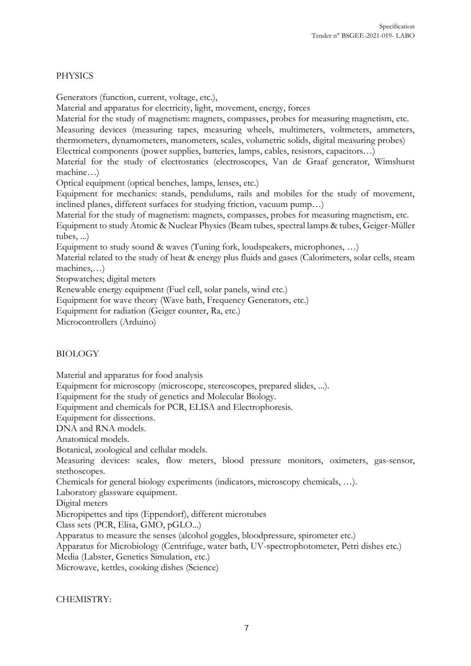#### PHYSICS

Generators (function, current, voltage, etc.),

Material and apparatus for electricity, light, movement, energy, forces

Material for the study of magnetism: magnets, compasses, probes for measuring magnetism, etc. Measuring devices (measuring tapes, measuring wheels, multimeters, voltmeters, ammeters, thermometers, dynamometers, manometers, scales, volumetric solids, digital measuring probes)

Electrical components (power supplies, batteries, lamps, cables, resistors, capacitors…)

Material for the study of electrostatics (electroscopes, Van de Graaf generator, Wimshurst machine…)

Optical equipment (optical benches, lamps, lenses, etc.)

Equipment for mechanics: stands, pendulums, rails and mobiles for the study of movement, inclined planes, different surfaces for studying friction, vacuum pump…)

Material for the study of magnetism: magnets, compasses, probes for measuring magnetism, etc.

Equipment to study Atomic & Nuclear Physics (Beam tubes, spectral lamps & tubes, Geiger-Müller tubes, ...)

Equipment to study sound & waves (Tuning fork, loudspeakers, microphones, …)

Material related to the study of heat & energy plus fluids and gases (Calorimeters, solar cells, steam machines,…)

Stopwatches; digital meters

Renewable energy equipment (Fuel cell, solar panels, wind etc.)

Equipment for wave theory (Wave bath, Frequency Generators, etc.)

Equipment for radiation (Geiger counter, Ra, etc.)

Microcontrollers (Arduino)

#### BIOLOGY

Material and apparatus for food analysis

Equipment for microscopy (microscope, stereoscopes, prepared slides, ...).

Equipment for the study of genetics and Molecular Biology.

Equipment and chemicals for PCR, ELISA and Electrophoresis.

Equipment for dissections.

DNA and RNA models.

Anatomical models.

Botanical, zoological and cellular models.

Measuring devices: scales, flow meters, blood pressure monitors, oximeters, gas-sensor, stethoscopes.

Chemicals for general biology experiments (indicators, microscopy chemicals, …).

Laboratory glassware equipment.

Digital meters

Micropipettes and tips (Eppendorf), different microtubes

Class sets (PCR, Elisa, GMO, pGLO...)

Apparatus to measure the senses (alcohol goggles, bloodpressure, spirometer etc.)

Apparatus for Microbiology (Centrifuge, water bath, UV-spectrophotometer, Petri dishes etc.)

Media (Labster, Genetics Simulation, etc.)

Microwave, kettles, cooking dishes (Science)

CHEMISTRY: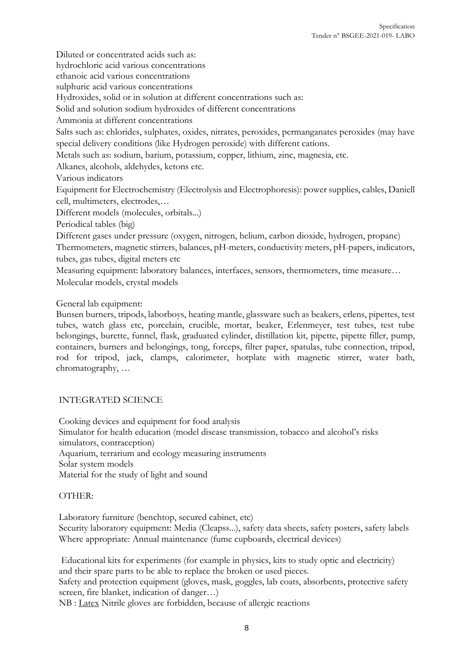Diluted or concentrated acids such as:

hydrochloric acid various concentrations

ethanoic acid various concentrations

sulphuric acid various concentrations

Hydroxides, solid or in solution at different concentrations such as:

Solid and solution sodium hydroxides of different concentrations

Ammonia at different concentrations

Salts such as: chlorides, sulphates, oxides, nitrates, peroxides, permanganates peroxides (may have special delivery conditions (like Hydrogen peroxide) with different cations.

Metals such as: sodium, barium, potassium, copper, lithium, zinc, magnesia, etc.

Alkanes, alcohols, aldehydes, ketons etc.

Various indicators

Equipment for Electrochemistry (Electrolysis and Electrophoresis): power supplies, cables, Daniell cell, multimeters, electrodes,…

Different models (molecules, orbitals...)

Periodical tables (big)

Different gases under pressure (oxygen, nitrogen, helium, carbon dioxide, hydrogen, propane)

Thermometers, magnetic stirrers, balances, pH-meters, conductivity meters, pH-papers, indicators, tubes, gas tubes, digital meters etc

Measuring equipment: laboratory balances, interfaces, sensors, thermometers, time measure… Molecular models, crystal models

General lab equipment:

Bunsen burners, tripods, laborboys, heating mantle, glassware such as beakers, erlens, pipettes, test tubes, watch glass etc, porcelain, crucible, mortar, beaker, Erlenmeyer, test tubes, test tube belongings, burette, funnel, flask, graduated cylinder, distillation kit, pipette, pipette filler, pump, containers, burners and belongings, tong, forceps, filter paper, spatulas, tube connection, tripod, rod for tripod, jack, clamps, calorimeter, hotplate with magnetic stirrer, water bath, chromatography, …

#### INTEGRATED SCIENCE

Cooking devices and equipment for food analysis Simulator for health education (model disease transmission, tobacco and alcohol's risks simulators, contraception) Aquarium, terrarium and ecology measuring instruments Solar system models Material for the study of light and sound

#### OTHER:

Laboratory furniture (benchtop, secured cabinet, etc) Security laboratory equipment: Media (Cleapss...), safety data sheets, safety posters, safety labels Where appropriate: Annual maintenance (fume cupboards, electrical devices)

Educational kits for experiments (for example in physics, kits to study optic and electricity) and their spare parts to be able to replace the broken or used pieces.

Safety and protection equipment (gloves, mask, goggles, lab coats, absorbents, protective safety screen, fire blanket, indication of danger…)

NB : Latex Nitrile gloves are forbidden, because of allergic reactions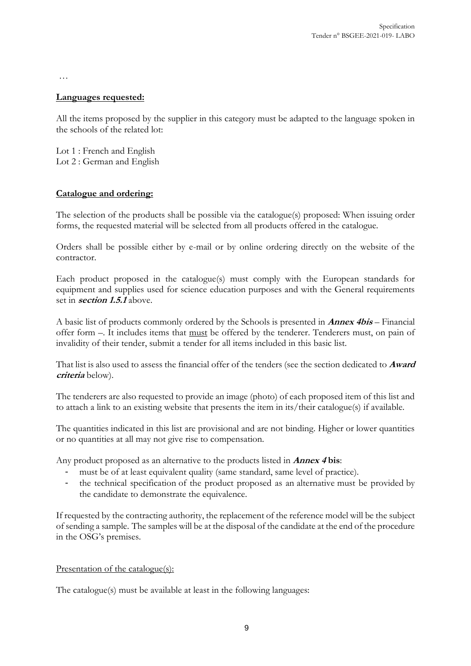…

#### **Languages requested:**

All the items proposed by the supplier in this category must be adapted to the language spoken in the schools of the related lot:

Lot 1 : French and English Lot 2 : German and English

#### **Catalogue and ordering:**

The selection of the products shall be possible via the catalogue(s) proposed: When issuing order forms, the requested material will be selected from all products offered in the catalogue.

Orders shall be possible either by e-mail or by online ordering directly on the website of the contractor.

Each product proposed in the catalogue(s) must comply with the European standards for equipment and supplies used for science education purposes and with the General requirements set in **section 1.5.1** above.

A basic list of products commonly ordered by the Schools is presented in **Annex 4bis** – Financial offer form –. It includes items that must be offered by the tenderer. Tenderers must, on pain of invalidity of their tender, submit a tender for all items included in this basic list.

That list is also used to assess the financial offer of the tenders (see the section dedicated to **Award criteria** below).

The tenderers are also requested to provide an image (photo) of each proposed item of this list and to attach a link to an existing website that presents the item in its/their catalogue(s) if available.

The quantities indicated in this list are provisional and are not binding. Higher or lower quantities or no quantities at all may not give rise to compensation.

Any product proposed as an alternative to the products listed in **Annex 4 bis**:

- must be of at least equivalent quality (same standard, same level of practice).
- the technical specification of the product proposed as an alternative must be provided by the candidate to demonstrate the equivalence.

If requested by the contracting authority, the replacement of the reference model will be the subject of sending a sample. The samples will be at the disposal of the candidate at the end of the procedure in the OSG's premises.

#### Presentation of the catalogue(s):

The catalogue(s) must be available at least in the following languages: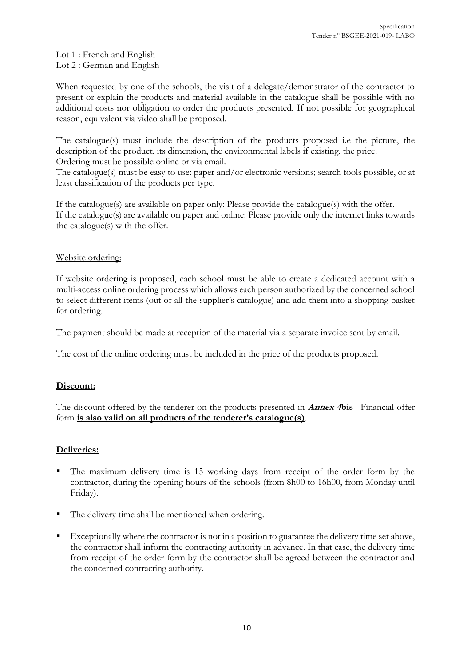Lot 1 : French and English Lot 2 : German and English

When requested by one of the schools, the visit of a delegate/demonstrator of the contractor to present or explain the products and material available in the catalogue shall be possible with no additional costs nor obligation to order the products presented. If not possible for geographical reason, equivalent via video shall be proposed.

The catalogue(s) must include the description of the products proposed i.e the picture, the description of the product, its dimension, the environmental labels if existing, the price. Ordering must be possible online or via email.

The catalogue(s) must be easy to use: paper and/or electronic versions; search tools possible, or at least classification of the products per type.

If the catalogue(s) are available on paper only: Please provide the catalogue(s) with the offer. If the catalogue(s) are available on paper and online: Please provide only the internet links towards the catalogue(s) with the offer.

#### Website ordering:

If website ordering is proposed, each school must be able to create a dedicated account with a multi-access online ordering process which allows each person authorized by the concerned school to select different items (out of all the supplier's catalogue) and add them into a shopping basket for ordering.

The payment should be made at reception of the material via a separate invoice sent by email.

The cost of the online ordering must be included in the price of the products proposed.

#### **Discount:**

The discount offered by the tenderer on the products presented in **Annex 4bis**– Financial offer form **is also valid on all products of the tenderer's catalogue(s)**.

#### **Deliveries:**

- The maximum delivery time is 15 working days from receipt of the order form by the contractor, during the opening hours of the schools (from 8h00 to 16h00, from Monday until Friday).
- The delivery time shall be mentioned when ordering.
- Exceptionally where the contractor is not in a position to guarantee the delivery time set above, the contractor shall inform the contracting authority in advance. In that case, the delivery time from receipt of the order form by the contractor shall be agreed between the contractor and the concerned contracting authority.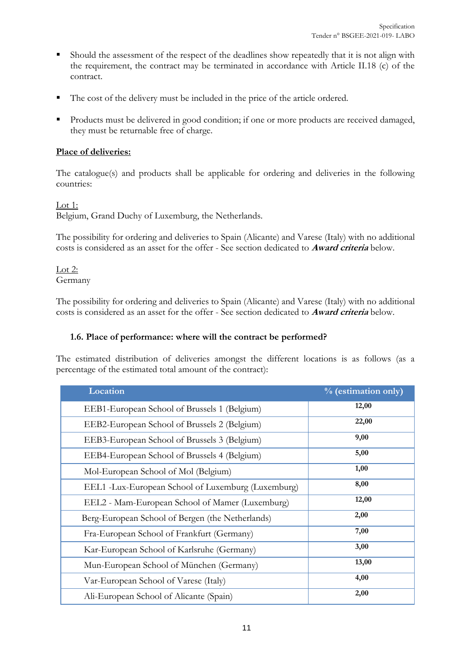- Should the assessment of the respect of the deadlines show repeatedly that it is not align with the requirement, the contract may be terminated in accordance with Article II.18 (c) of the contract.
- The cost of the delivery must be included in the price of the article ordered.
- Products must be delivered in good condition; if one or more products are received damaged, they must be returnable free of charge.

#### **Place of deliveries:**

The catalogue(s) and products shall be applicable for ordering and deliveries in the following countries:

Lot 1:

Belgium, Grand Duchy of Luxemburg, the Netherlands.

The possibility for ordering and deliveries to Spain (Alicante) and Varese (Italy) with no additional costs is considered as an asset for the offer - See section dedicated to **Award criteria** below.

Lot 2: Germany

The possibility for ordering and deliveries to Spain (Alicante) and Varese (Italy) with no additional costs is considered as an asset for the offer - See section dedicated to **Award criteria** below.

#### <span id="page-10-0"></span>**1.6. Place of performance: where will the contract be performed?**

The estimated distribution of deliveries amongst the different locations is as follows (as a percentage of the estimated total amount of the contract):

| Location                                           | % (estimation only) |
|----------------------------------------------------|---------------------|
| EEB1-European School of Brussels 1 (Belgium)       | 12,00               |
| EEB2-European School of Brussels 2 (Belgium)       | 22,00               |
| EEB3-European School of Brussels 3 (Belgium)       | 9,00                |
| EEB4-European School of Brussels 4 (Belgium)       | 5,00                |
| Mol-European School of Mol (Belgium)               | 1,00                |
| EEL1 -Lux-European School of Luxemburg (Luxemburg) | 8,00                |
| EEL2 - Mam-European School of Mamer (Luxemburg)    | 12,00               |
| Berg-European School of Bergen (the Netherlands)   | 2,00                |
| Fra-European School of Frankfurt (Germany)         | 7,00                |
| Kar-European School of Karlsruhe (Germany)         | 3,00                |
| Mun-European School of München (Germany)           | 13,00               |
| Var-European School of Varese (Italy)              | 4,00                |
| Ali-European School of Alicante (Spain)            | 2,00                |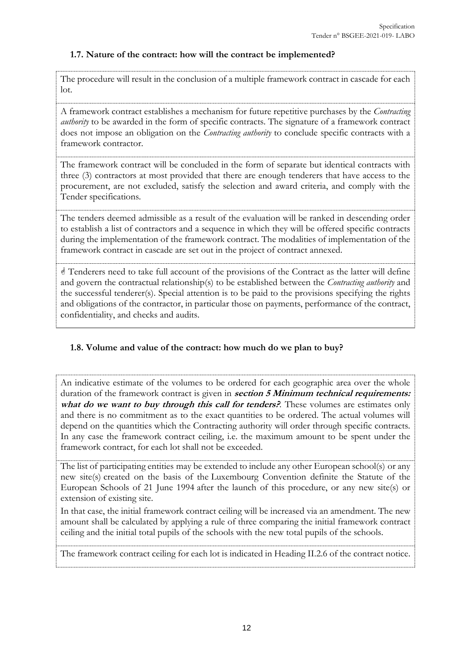#### <span id="page-11-0"></span>**1.7. Nature of the contract: how will the contract be implemented?**

The procedure will result in the conclusion of a multiple framework contract in cascade for each lot.

A framework contract establishes a mechanism for future repetitive purchases by the *Contracting authority* to be awarded in the form of specific contracts. The signature of a framework contract does not impose an obligation on the *Contracting authority* to conclude specific contracts with a framework contractor.

The framework contract will be concluded in the form of separate but identical contracts with three (3) contractors at most provided that there are enough tenderers that have access to the procurement, are not excluded, satisfy the selection and award criteria, and comply with the Tender specifications.

The tenders deemed admissible as a result of the evaluation will be ranked in descending order to establish a list of contractors and a sequence in which they will be offered specific contracts during the implementation of the framework contract. The modalities of implementation of the framework contract in cascade are set out in the project of contract annexed.

 Tenderers need to take full account of the provisions of the Contract as the latter will define and govern the contractual relationship(s) to be established between the *Contracting authority* and the successful tenderer(s). Special attention is to be paid to the provisions specifying the rights and obligations of the contractor, in particular those on payments, performance of the contract, confidentiality, and checks and audits.

#### <span id="page-11-1"></span>**1.8. Volume and value of the contract: how much do we plan to buy?**

An indicative estimate of the volumes to be ordered for each geographic area over the whole duration of the framework contract is given in **section 5 Minimum technical requirements:** what do we want to buy through this call for tenders? These volumes are estimates only and there is no commitment as to the exact quantities to be ordered. The actual volumes will depend on the quantities which the Contracting authority will order through specific contracts. In any case the framework contract ceiling, i.e. the maximum amount to be spent under the framework contract, for each lot shall not be exceeded.

The list of participating entities may be extended to include any other European school(s) or any new site(s) created on the basis of the Luxembourg Convention definite the Statute of the European Schools of 21 June 1994 after the launch of this procedure, or any new site(s) or extension of existing site.

In that case, the initial framework contract ceiling will be increased via an amendment. The new amount shall be calculated by applying a rule of three comparing the initial framework contract ceiling and the initial total pupils of the schools with the new total pupils of the schools.

The framework contract ceiling for each lot is indicated in Heading II.2.6 of the contract notice.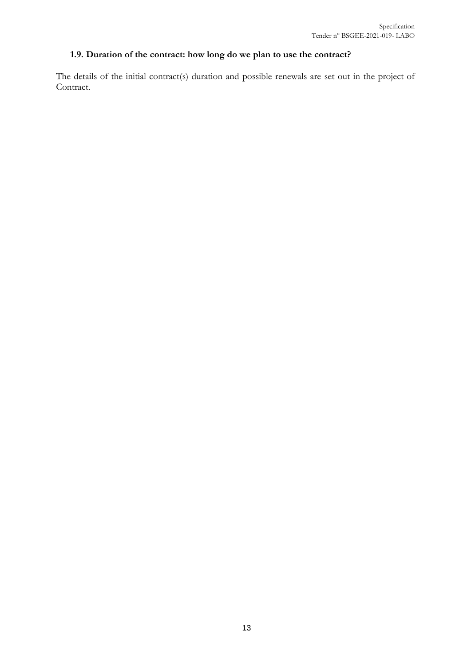# <span id="page-12-0"></span>**1.9. Duration of the contract: how long do we plan to use the contract?**

The details of the initial contract(s) duration and possible renewals are set out in the project of Contract.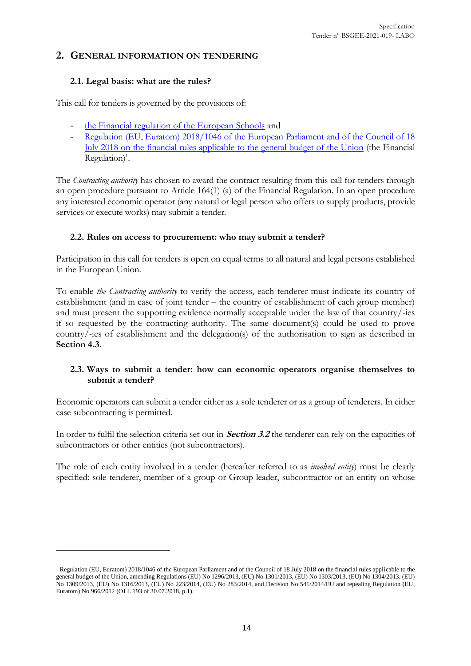#### <span id="page-13-0"></span>**2. GENERAL INFORMATION ON TENDERING**

#### <span id="page-13-1"></span>**2.1. Legal basis: what are the rules?**

 $\overline{a}$ 

This call for tenders is governed by the provisions of:

- [the Financial regulation of the European Schools](https://www.eursc.eu/BasicTexts/2017-12-D-21-en-1.pdf) and
- Regulation (EU, Euratom) 2018/1046 of the European Parliament and of the Council of 18 [July 2018 on the financial rules applicable to the general budget of the Union](https://eur-lex.europa.eu/legal-content/EN/AUTO/?uri=uriserv:OJ.L_.2018.193.01.0001.01.ENG&toc=OJ:L:2018:193:TOC) (the Financial  $Regulation)<sup>1</sup>$ .

The *Contracting authority* has chosen to award the contract resulting from this call for tenders through an open procedure pursuant to Article 164(1) (a) of the Financial Regulation. In an open procedure any interested economic operator (any natural or legal person who offers to supply products, provide services or execute works) may submit a tender.

#### <span id="page-13-2"></span>**2.2. Rules on access to procurement: who may submit a tender?**

Participation in this call for tenders is open on equal terms to all natural and legal persons established in the European Union.

To enable *the Contracting authority* to verify the access, each tenderer must indicate its country of establishment (and in case of joint tender – the country of establishment of each group member) and must present the supporting evidence normally acceptable under the law of that country/-ies if so requested by the contracting authority. The same document(s) could be used to prove country/-ies of establishment and the delegation(s) of the authorisation to sign as described in **Section 4.3**.

#### <span id="page-13-3"></span>**2.3. Ways to submit a tender: how can economic operators organise themselves to submit a tender?**

Economic operators can submit a tender either as a sole tenderer or as a group of tenderers. In either case subcontracting is permitted.

In order to fulfil the selection criteria set out in **Section [3.2](#page-18-0)** the tenderer can rely on the capacities of subcontractors or other entities (not subcontractors).

The role of each entity involved in a tender (hereafter referred to as *involved entity*) must be clearly specified: sole tenderer, member of a group or Group leader, subcontractor or an entity on whose

<sup>&</sup>lt;sup>1</sup> Regulation (EU, Euratom) 2018/1046 of the European Parliament and of the Council of 18 July 2018 on the financial rules applicable to the general budget of the Union, amending Regulations (EU) No 1296/2013, (EU) No 1301/2013, (EU) No 1303/2013, (EU) No 1304/2013, (EU) No 1309/2013, (EU) No 1316/2013, (EU) No 223/2014, (EU) No 283/2014, and Decision No 541/2014/EU and repealing Regulation (EU, Euratom) No 966/2012 (OJ L 193 of 30.07.2018, p.1).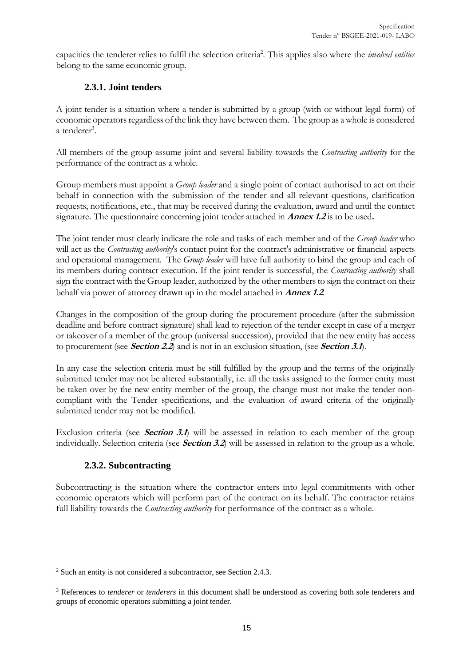capacities the tenderer relies to fulfil the selection criteria<sup>2</sup>. This applies also where the *involved entities* belong to the same economic group.

# **2.3.1. Joint tenders**

A joint tender is a situation where a tender is submitted by a group (with or without legal form) of economic operators regardless of the link they have between them. The group as a whole is considered a tenderer<sup>3</sup>.

All members of the group assume joint and several liability towards the *Contracting authority* for the performance of the contract as a whole.

Group members must appoint a *Group leader* and a single point of contact authorised to act on their behalf in connection with the submission of the tender and all relevant questions, clarification requests, notifications, etc., that may be received during the evaluation, award and until the contact signature. The questionnaire concerning joint tender attached in **Annex 1.2** is to be used**.**

The joint tender must clearly indicate the role and tasks of each member and of the *Group leader* who will act as the *Contracting authority*'s contact point for the contract's administrative or financial aspects and operational management. The *Group leader* will have full authority to bind the group and each of its members during contract execution. If the joint tender is successful, the *Contracting authority* shall sign the contract with the Group leader, authorized by the other members to sign the contract on their behalf via power of attorney drawn up in the model attached in **Annex 1.2**.

Changes in the composition of the group during the procurement procedure (after the submission deadline and before contract signature) shall lead to rejection of the tender except in case of a merger or takeover of a member of the group (universal succession), provided that the new entity has access to procurement (see **Sectio[n 2.2](#page-13-2)**) and is not in an exclusion situation, (see **Section 3.1**).

In any case the selection criteria must be still fulfilled by the group and the terms of the originally submitted tender may not be altered substantially, i.e. all the tasks assigned to the former entity must be taken over by the new entity member of the group, the change must not make the tender noncompliant with the Tender specifications, and the evaluation of award criteria of the originally submitted tender may not be modified.

Exclusion criteria (see **Section 3.1**) will be assessed in relation to each member of the group individually. Selection criteria (see **Section 3.2**) will be assessed in relation to the group as a whole.

# **2.3.2. Subcontracting**

 $\overline{a}$ 

Subcontracting is the situation where the contractor enters into legal commitments with other economic operators which will perform part of the contract on its behalf. The contractor retains full liability towards the *Contracting authority* for performance of the contract as a whole.

<sup>2</sup> Such an entity is not considered a subcontractor, see Section 2.4.3.

<sup>3</sup> References to *tenderer* or *tenderers* in this document shall be understood as covering both sole tenderers and groups of economic operators submitting a joint tender.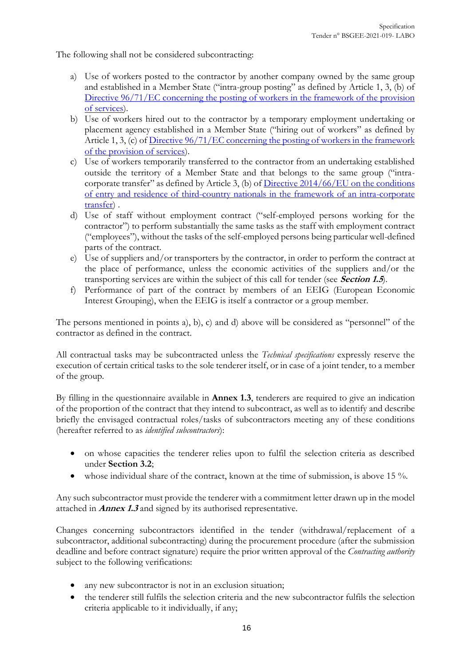The following shall not be considered subcontracting:

- a) Use of workers posted to the contractor by another company owned by the same group and established in a Member State ("intra-group posting" as defined by Article 1, 3, (b) of Directive 96/71/EC concerning the posting of workers in the framework of the provision [of services\)](https://eur-lex.europa.eu/legal-content/en/ALL/?uri=CELEX%3A31996L0071).
- b) Use of workers hired out to the contractor by a temporary employment undertaking or placement agency established in a Member State ("hiring out of workers" as defined by Article 1, 3, (c) of Directive 96/71/EC concerning the posting of workers in the framework [of the provision of services\)](https://eur-lex.europa.eu/legal-content/en/ALL/?uri=CELEX%3A31996L0071).
- c) Use of workers temporarily transferred to the contractor from an undertaking established outside the territory of a Member State and that belongs to the same group ("intracorporate transfer" as defined by Article 3, (b) of Directive 2014/66/EU on the conditions [of entry and residence of third-country nationals in the framework of an intra-corporate](https://eur-lex.europa.eu/legal-content/EN/TXT/?uri=celex:32014L0066)  [transfer\)](https://eur-lex.europa.eu/legal-content/EN/TXT/?uri=celex:32014L0066) .
- d) Use of staff without employment contract ("self-employed persons working for the contractor") to perform substantially the same tasks as the staff with employment contract ("employees"), without the tasks of the self-employed persons being particular well-defined parts of the contract.
- e) Use of suppliers and/or transporters by the contractor, in order to perform the contract at the place of performance, unless the economic activities of the suppliers and/or the transporting services are within the subject of this call for tender (see **Sectio[n 1.5](#page-5-1)**).
- f) Performance of part of the contract by members of an EEIG (European Economic Interest Grouping), when the EEIG is itself a contractor or a group member.

The persons mentioned in points a), b), c) and d) above will be considered as "personnel" of the contractor as defined in the contract.

All contractual tasks may be subcontracted unless the *Technical specifications* expressly reserve the execution of certain critical tasks to the sole tenderer itself, or in case of a joint tender, to a member of the group.

By filling in the questionnaire available in **Annex 1.3**, tenderers are required to give an indication of the proportion of the contract that they intend to subcontract, as well as to identify and describe briefly the envisaged contractual roles/tasks of subcontractors meeting any of these conditions (hereafter referred to as *identified subcontractors*):

- on whose capacities the tenderer relies upon to fulfil the selection criteria as described under **Section [3.2](#page-18-0)**;
- whose individual share of the contract, known at the time of submission, is above 15 %.

Any such subcontractor must provide the tenderer with a commitment letter drawn up in the model attached in **Annex 1.3** and signed by its authorised representative.

Changes concerning subcontractors identified in the tender (withdrawal/replacement of a subcontractor, additional subcontracting) during the procurement procedure (after the submission deadline and before contract signature) require the prior written approval of the *Contracting authority* subject to the following verifications:

- any new subcontractor is not in an exclusion situation;
- the tenderer still fulfils the selection criteria and the new subcontractor fulfils the selection criteria applicable to it individually, if any;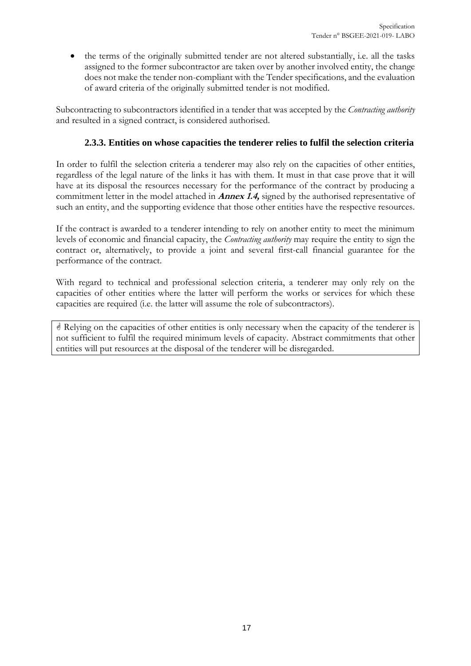• the terms of the originally submitted tender are not altered substantially, i.e. all the tasks assigned to the former subcontractor are taken over by another involved entity, the change does not make the tender non-compliant with the Tender specifications, and the evaluation of award criteria of the originally submitted tender is not modified.

Subcontracting to subcontractors identified in a tender that was accepted by the *Contracting authority* and resulted in a signed contract, is considered authorised.

#### **2.3.3. Entities on whose capacities the tenderer relies to fulfil the selection criteria**

In order to fulfil the selection criteria a tenderer may also rely on the capacities of other entities, regardless of the legal nature of the links it has with them. It must in that case prove that it will have at its disposal the resources necessary for the performance of the contract by producing a commitment letter in the model attached in **Annex 1.4,** signed by the authorised representative of such an entity, and the supporting evidence that those other entities have the respective resources.

If the contract is awarded to a tenderer intending to rely on another entity to meet the minimum levels of economic and financial capacity, the *Contracting authority* may require the entity to sign the contract or, alternatively, to provide a joint and several first-call financial guarantee for the performance of the contract.

With regard to technical and professional selection criteria, a tenderer may only rely on the capacities of other entities where the latter will perform the works or services for which these capacities are required (i.e. the latter will assume the role of subcontractors).

 Relying on the capacities of other entities is only necessary when the capacity of the tenderer is not sufficient to fulfil the required minimum levels of capacity. Abstract commitments that other entities will put resources at the disposal of the tenderer will be disregarded.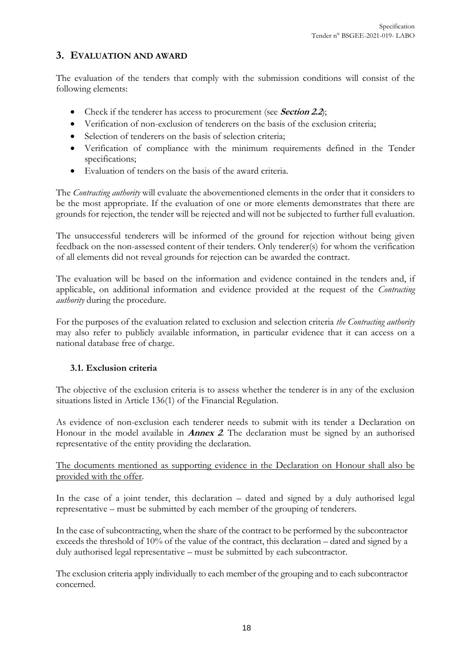# <span id="page-17-0"></span>**3. EVALUATION AND AWARD**

The evaluation of the tenders that comply with the submission conditions will consist of the following elements:

- Check if the tenderer has access to procurement (see **Sectio[n 2.2](#page-13-2)**);
- Verification of non-exclusion of tenderers on the basis of the exclusion criteria;
- Selection of tenderers on the basis of selection criteria;
- Verification of compliance with the minimum requirements defined in the Tender specifications;
- Evaluation of tenders on the basis of the award criteria.

The *Contracting authority* will evaluate the abovementioned elements in the order that it considers to be the most appropriate. If the evaluation of one or more elements demonstrates that there are grounds for rejection, the tender will be rejected and will not be subjected to further full evaluation.

The unsuccessful tenderers will be informed of the ground for rejection without being given feedback on the non-assessed content of their tenders. Only tenderer(s) for whom the verification of all elements did not reveal grounds for rejection can be awarded the contract.

The evaluation will be based on the information and evidence contained in the tenders and, if applicable, on additional information and evidence provided at the request of the *Contracting authority* during the procedure.

For the purposes of the evaluation related to exclusion and selection criteria *the Contracting authority* may also refer to publicly available information, in particular evidence that it can access on a national database free of charge.

#### <span id="page-17-1"></span>**3.1. Exclusion criteria**

The objective of the exclusion criteria is to assess whether the tenderer is in any of the exclusion situations listed in Article 136(1) of the Financial Regulation.

As evidence of non-exclusion each tenderer needs to submit with its tender a Declaration on Honour in the model available in **Annex 2**. The declaration must be signed by an authorised representative of the entity providing the declaration.

The documents mentioned as supporting evidence in the Declaration on Honour shall also be provided with the offer.

In the case of a joint tender, this declaration – dated and signed by a duly authorised legal representative – must be submitted by each member of the grouping of tenderers.

In the case of subcontracting, when the share of the contract to be performed by the subcontractor exceeds the threshold of 10% of the value of the contract, this declaration – dated and signed by a duly authorised legal representative – must be submitted by each subcontractor.

The exclusion criteria apply individually to each member of the grouping and to each subcontractor concerned.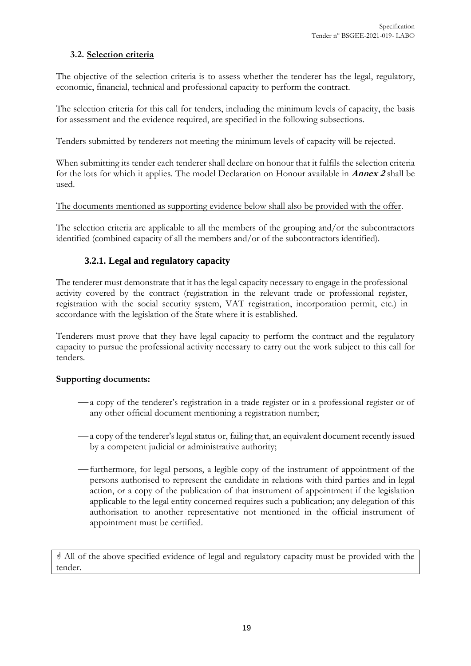#### <span id="page-18-0"></span>**3.2. Selection criteria**

The objective of the selection criteria is to assess whether the tenderer has the legal, regulatory, economic, financial, technical and professional capacity to perform the contract.

The selection criteria for this call for tenders, including the minimum levels of capacity, the basis for assessment and the evidence required, are specified in the following subsections.

Tenders submitted by tenderers not meeting the minimum levels of capacity will be rejected.

When submitting its tender each tenderer shall declare on honour that it fulfils the selection criteria for the lots for which it applies. The model Declaration on Honour available in **Annex 2** shall be used.

#### The documents mentioned as supporting evidence below shall also be provided with the offer.

The selection criteria are applicable to all the members of the grouping and/or the subcontractors identified (combined capacity of all the members and/or of the subcontractors identified).

#### **3.2.1. Legal and regulatory capacity**

The tenderer must demonstrate that it has the legal capacity necessary to engage in the professional activity covered by the contract (registration in the relevant trade or professional register, registration with the social security system, VAT registration, incorporation permit, etc.) in accordance with the legislation of the State where it is established.

Tenderers must prove that they have legal capacity to perform the contract and the regulatory capacity to pursue the professional activity necessary to carry out the work subject to this call for tenders.

#### **Supporting documents:**

- -a copy of the tenderer's registration in a trade register or in a professional register or of any other official document mentioning a registration number;
- a copy of the tenderer's legal status or, failing that, an equivalent document recently issued by a competent judicial or administrative authority;
- ⎯ furthermore, for legal persons, a legible copy of the instrument of appointment of the persons authorised to represent the candidate in relations with third parties and in legal action, or a copy of the publication of that instrument of appointment if the legislation applicable to the legal entity concerned requires such a publication; any delegation of this authorisation to another representative not mentioned in the official instrument of appointment must be certified.

 All of the above specified evidence of legal and regulatory capacity must be provided with the tender.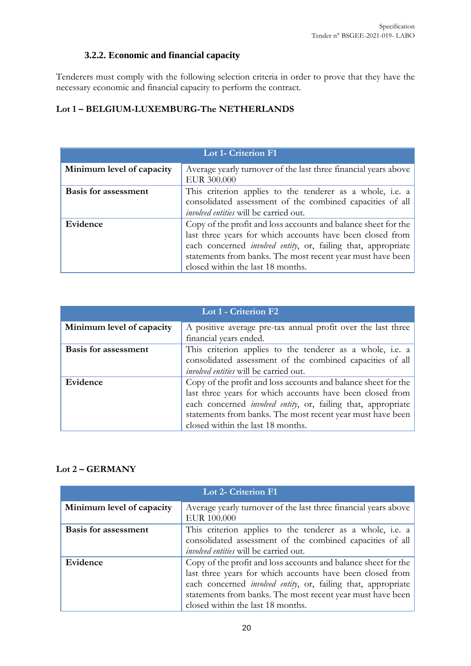# **3.2.2. Economic and financial capacity**

Tenderers must comply with the following selection criteria in order to prove that they have the necessary economic and financial capacity to perform the contract.

# **Lot 1 – BELGIUM-LUXEMBURG-The NETHERLANDS**

| <b>Lot 1- Criterion F1</b>                                                                   |                                                                       |  |  |
|----------------------------------------------------------------------------------------------|-----------------------------------------------------------------------|--|--|
| Minimum level of capacity<br>Average yearly turnover of the last three financial years above |                                                                       |  |  |
|                                                                                              | EUR 300.000                                                           |  |  |
| <b>Basis for assessment</b>                                                                  | This criterion applies to the tenderer as a whole, i.e. a             |  |  |
|                                                                                              | consolidated assessment of the combined capacities of all             |  |  |
|                                                                                              | <i>involved entities</i> will be carried out.                         |  |  |
| Evidence                                                                                     | Copy of the profit and loss accounts and balance sheet for the        |  |  |
|                                                                                              | last three years for which accounts have been closed from             |  |  |
|                                                                                              | each concerned <i>involved entity</i> , or, failing that, appropriate |  |  |
|                                                                                              | statements from banks. The most recent year must have been            |  |  |
| closed within the last 18 months.                                                            |                                                                       |  |  |

| <b>Lot 1 - Criterion F2</b> |                                                                                                                                                                                                                                                                                                         |  |  |
|-----------------------------|---------------------------------------------------------------------------------------------------------------------------------------------------------------------------------------------------------------------------------------------------------------------------------------------------------|--|--|
| Minimum level of capacity   | A positive average pre-tax annual profit over the last three<br>financial years ended.                                                                                                                                                                                                                  |  |  |
| <b>Basis for assessment</b> | This criterion applies to the tenderer as a whole, i.e. a<br>consolidated assessment of the combined capacities of all<br>involved entities will be carried out.                                                                                                                                        |  |  |
| Evidence                    | Copy of the profit and loss accounts and balance sheet for the<br>last three years for which accounts have been closed from<br>each concerned <i>involved entity</i> , or, failing that, appropriate<br>statements from banks. The most recent year must have been<br>closed within the last 18 months. |  |  |

#### **Lot 2 – GERMANY**

| <b>Lot 2- Criterion F1</b>                                                                   |                                                                       |  |  |
|----------------------------------------------------------------------------------------------|-----------------------------------------------------------------------|--|--|
| Minimum level of capacity<br>Average yearly turnover of the last three financial years above |                                                                       |  |  |
|                                                                                              | EUR 100.000                                                           |  |  |
| <b>Basis for assessment</b><br>This criterion applies to the tenderer as a whole, i.e. a     |                                                                       |  |  |
|                                                                                              | consolidated assessment of the combined capacities of all             |  |  |
|                                                                                              | involved entities will be carried out.                                |  |  |
| Evidence<br>Copy of the profit and loss accounts and balance sheet for the                   |                                                                       |  |  |
|                                                                                              | last three years for which accounts have been closed from             |  |  |
|                                                                                              | each concerned <i>involved entity</i> , or, failing that, appropriate |  |  |
|                                                                                              | statements from banks. The most recent year must have been            |  |  |
|                                                                                              | closed within the last 18 months.                                     |  |  |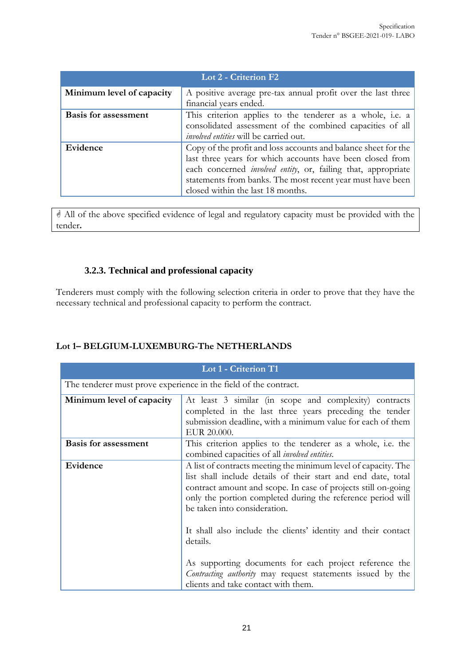| Lot 2 - Criterion F2                                                                                                |                                                                                                                                                                                                                                                                                                         |  |  |
|---------------------------------------------------------------------------------------------------------------------|---------------------------------------------------------------------------------------------------------------------------------------------------------------------------------------------------------------------------------------------------------------------------------------------------------|--|--|
| Minimum level of capacity<br>A positive average pre-tax annual profit over the last three<br>financial years ended. |                                                                                                                                                                                                                                                                                                         |  |  |
| <b>Basis for assessment</b>                                                                                         | This criterion applies to the tenderer as a whole, i.e. a<br>consolidated assessment of the combined capacities of all<br><i>involved entities</i> will be carried out.                                                                                                                                 |  |  |
| Evidence                                                                                                            | Copy of the profit and loss accounts and balance sheet for the<br>last three years for which accounts have been closed from<br>each concerned <i>involved entity</i> , or, failing that, appropriate<br>statements from banks. The most recent year must have been<br>closed within the last 18 months. |  |  |

 All of the above specified evidence of legal and regulatory capacity must be provided with the tender**.**

### **3.2.3. Technical and professional capacity**

Tenderers must comply with the following selection criteria in order to prove that they have the necessary technical and professional capacity to perform the contract.

| Lot 1 - Criterion T1                                             |                                                                                                                                                                                                                                                                                                                                                                                                                                                                                                                                             |  |  |
|------------------------------------------------------------------|---------------------------------------------------------------------------------------------------------------------------------------------------------------------------------------------------------------------------------------------------------------------------------------------------------------------------------------------------------------------------------------------------------------------------------------------------------------------------------------------------------------------------------------------|--|--|
| The tenderer must prove experience in the field of the contract. |                                                                                                                                                                                                                                                                                                                                                                                                                                                                                                                                             |  |  |
| Minimum level of capacity                                        | At least 3 similar (in scope and complexity) contracts<br>completed in the last three years preceding the tender<br>submission deadline, with a minimum value for each of them<br>EUR 20.000.                                                                                                                                                                                                                                                                                                                                               |  |  |
| <b>Basis for assessment</b>                                      | This criterion applies to the tenderer as a whole, i.e. the<br>combined capacities of all <i>involved entities</i> .                                                                                                                                                                                                                                                                                                                                                                                                                        |  |  |
| Evidence                                                         | A list of contracts meeting the minimum level of capacity. The<br>list shall include details of their start and end date, total<br>contract amount and scope. In case of projects still on-going<br>only the portion completed during the reference period will<br>be taken into consideration.<br>It shall also include the clients' identity and their contact<br>details.<br>As supporting documents for each project reference the<br>Contracting authority may request statements issued by the<br>clients and take contact with them. |  |  |

#### **Lot 1– BELGIUM-LUXEMBURG-The NETHERLANDS**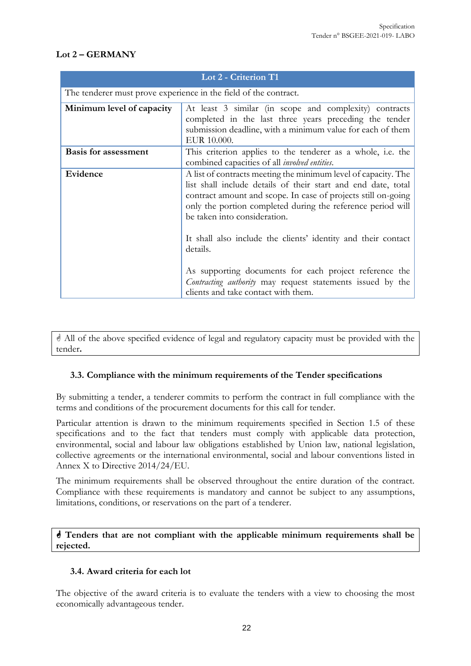#### **Lot 2 – GERMANY**

| Lot 2 - Criterion T1                                                                                                                                                                                                       |                                                                                                                                                                                                                                                                                                                                                                                                                                                                                                                                             |  |  |
|----------------------------------------------------------------------------------------------------------------------------------------------------------------------------------------------------------------------------|---------------------------------------------------------------------------------------------------------------------------------------------------------------------------------------------------------------------------------------------------------------------------------------------------------------------------------------------------------------------------------------------------------------------------------------------------------------------------------------------------------------------------------------------|--|--|
| The tenderer must prove experience in the field of the contract.                                                                                                                                                           |                                                                                                                                                                                                                                                                                                                                                                                                                                                                                                                                             |  |  |
| Minimum level of capacity<br>At least 3 similar (in scope and complexity) contracts<br>completed in the last three years preceding the tender<br>submission deadline, with a minimum value for each of them<br>EUR 10.000. |                                                                                                                                                                                                                                                                                                                                                                                                                                                                                                                                             |  |  |
| <b>Basis for assessment</b>                                                                                                                                                                                                | This criterion applies to the tenderer as a whole, i.e. the<br>combined capacities of all <i>involved entities</i> .                                                                                                                                                                                                                                                                                                                                                                                                                        |  |  |
| Evidence                                                                                                                                                                                                                   | A list of contracts meeting the minimum level of capacity. The<br>list shall include details of their start and end date, total<br>contract amount and scope. In case of projects still on-going<br>only the portion completed during the reference period will<br>be taken into consideration.<br>It shall also include the clients' identity and their contact<br>details.<br>As supporting documents for each project reference the<br>Contracting authority may request statements issued by the<br>clients and take contact with them. |  |  |

 All of the above specified evidence of legal and regulatory capacity must be provided with the tender**.**

#### <span id="page-21-0"></span>**3.3. Compliance with the minimum requirements of the Tender specifications**

By submitting a tender, a tenderer commits to perform the contract in full compliance with the terms and conditions of the procurement documents for this call for tender.

Particular attention is drawn to the minimum requirements specified in Section [1.5](#page-5-1) of these specifications and to the fact that tenders must comply with applicable data protection, environmental, social and labour law obligations established by Union law, national legislation, collective agreements or the international environmental, social and labour conventions listed in Annex X to Directive 2014/24/EU.

The minimum requirements shall be observed throughout the entire duration of the contract. Compliance with these requirements is mandatory and cannot be subject to any assumptions, limitations, conditions, or reservations on the part of a tenderer.

#### **Tenders that are not compliant with the applicable minimum requirements shall be rejected.**

#### <span id="page-21-1"></span>**3.4. Award criteria for each lot**

The objective of the award criteria is to evaluate the tenders with a view to choosing the most economically advantageous tender.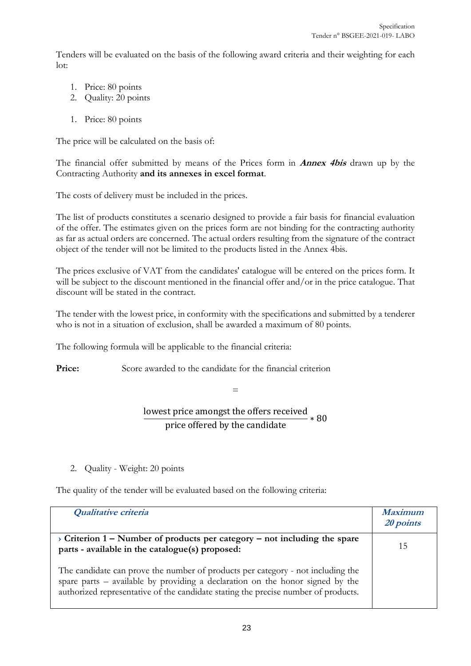Tenders will be evaluated on the basis of the following award criteria and their weighting for each lot:

- 1. Price: 80 points
- 2. Quality: 20 points
- 1. Price: 80 points

The price will be calculated on the basis of:

The financial offer submitted by means of the Prices form in **Annex 4bis** drawn up by the Contracting Authority **and its annexes in excel format**.

The costs of delivery must be included in the prices.

The list of products constitutes a scenario designed to provide a fair basis for financial evaluation of the offer. The estimates given on the prices form are not binding for the contracting authority as far as actual orders are concerned. The actual orders resulting from the signature of the contract object of the tender will not be limited to the products listed in the Annex 4bis.

The prices exclusive of VAT from the candidates' catalogue will be entered on the prices form. It will be subject to the discount mentioned in the financial offer and/or in the price catalogue. That discount will be stated in the contract.

The tender with the lowest price, in conformity with the specifications and submitted by a tenderer who is not in a situation of exclusion, shall be awarded a maximum of 80 points.

The following formula will be applicable to the financial criteria:

**Price:** Score awarded to the candidate for the financial criterion

=

lowest price amongst the offers received price differed by the candidate  $* 80$ 

2. Quality - Weight: 20 points

The quality of the tender will be evaluated based on the following criteria:

| Qualitative criteria                                                                                                                                                                                                                                   | <b>Maximum</b><br>20 points |
|--------------------------------------------------------------------------------------------------------------------------------------------------------------------------------------------------------------------------------------------------------|-----------------------------|
| $\rightarrow$ Criterion 1 – Number of products per category – not including the spare<br>parts - available in the catalogue(s) proposed:                                                                                                               | 15                          |
| The candidate can prove the number of products per category - not including the<br>spare parts – available by providing a declaration on the honor signed by the<br>authorized representative of the candidate stating the precise number of products. |                             |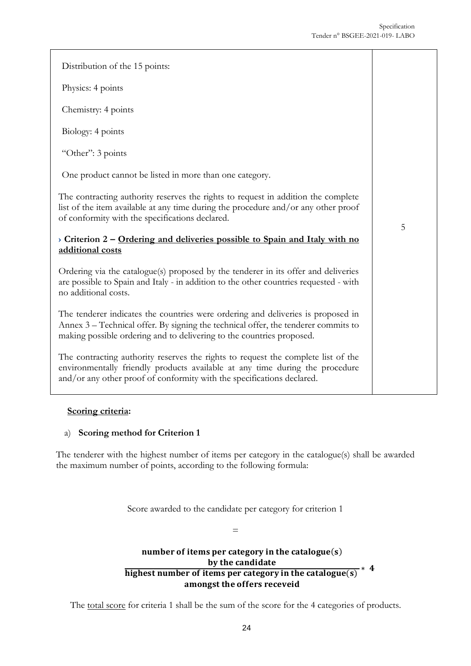| Distribution of the 15 points:                                                                                                                                                                                                                  |   |
|-------------------------------------------------------------------------------------------------------------------------------------------------------------------------------------------------------------------------------------------------|---|
| Physics: 4 points                                                                                                                                                                                                                               |   |
| Chemistry: 4 points                                                                                                                                                                                                                             |   |
| Biology: 4 points                                                                                                                                                                                                                               |   |
| "Other": 3 points                                                                                                                                                                                                                               |   |
| One product cannot be listed in more than one category.                                                                                                                                                                                         |   |
| The contracting authority reserves the rights to request in addition the complete<br>list of the item available at any time during the procedure and/or any other proof<br>of conformity with the specifications declared.                      | 5 |
| > Criterion $2$ – Ordering and deliveries possible to Spain and Italy with no<br>additional costs                                                                                                                                               |   |
| Ordering via the catalogue(s) proposed by the tenderer in its offer and deliveries<br>are possible to Spain and Italy - in addition to the other countries requested - with<br>no additional costs.                                             |   |
| The tenderer indicates the countries were ordering and deliveries is proposed in<br>Annex 3 - Technical offer. By signing the technical offer, the tenderer commits to<br>making possible ordering and to delivering to the countries proposed. |   |
| The contracting authority reserves the rights to request the complete list of the<br>environmentally friendly products available at any time during the procedure<br>and/or any other proof of conformity with the specifications declared.     |   |

#### **Scoring criteria:**

#### a) **Scoring method for Criterion 1**

The tenderer with the highest number of items per category in the catalogue(s) shall be awarded the maximum number of points, according to the following formula:

Score awarded to the candidate per category for criterion 1

=

# number of items per category in the catalogue $(s)$ by the candidate  $\frac{b}{b}$  is the candidate highest number of items per category in the catalogue(s)<sup>\*</sup> amongst the offers receveid

The total score for criteria 1 shall be the sum of the score for the 4 categories of products.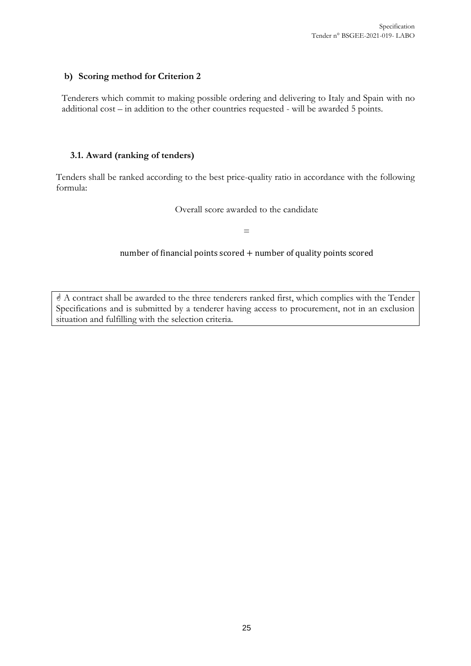#### **b) Scoring method for Criterion 2**

Tenderers which commit to making possible ordering and delivering to Italy and Spain with no additional cost – in addition to the other countries requested - will be awarded 5 points.

#### <span id="page-24-0"></span>**3.1. Award (ranking of tenders)**

Tenders shall be ranked according to the best price-quality ratio in accordance with the following formula:

Overall score awarded to the candidate

 $=$ 

number of financial points scored + number of quality points scored

 A contract shall be awarded to the three tenderers ranked first, which complies with the Tender Specifications and is submitted by a tenderer having access to procurement, not in an exclusion situation and fulfilling with the selection criteria.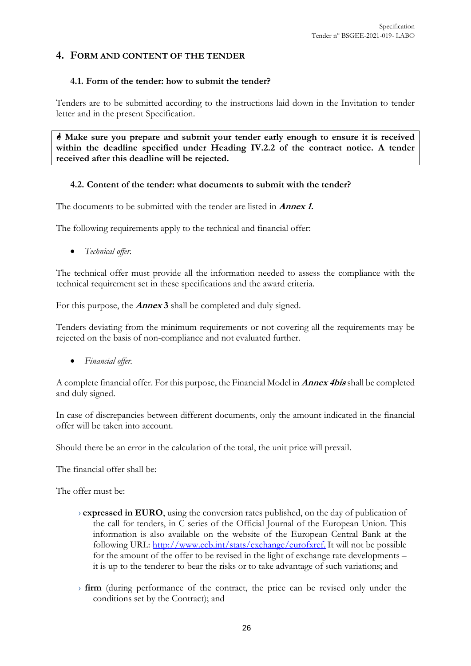#### <span id="page-25-0"></span>**4. FORM AND CONTENT OF THE TENDER**

#### <span id="page-25-1"></span>**4.1. Form of the tender: how to submit the tender?**

Tenders are to be submitted according to the instructions laid down in the Invitation to tender letter and in the present Specification.

 **Make sure you prepare and submit your tender early enough to ensure it is received within the deadline specified under Heading IV.2.2 of the contract notice. A tender received after this deadline will be rejected.** 

#### <span id="page-25-2"></span>**4.2. Content of the tender: what documents to submit with the tender?**

The documents to be submitted with the tender are listed in **Annex 1.**

The following requirements apply to the technical and financial offer:

• *Technical offer.*

The technical offer must provide all the information needed to assess the compliance with the technical requirement set in these specifications and the award criteria.

For this purpose, the **Annex 3** shall be completed and duly signed.

Tenders deviating from the minimum requirements or not covering all the requirements may be rejected on the basis of non-compliance and not evaluated further.

• *Financial offer.*

A complete financial offer. For this purpose, the Financial Model in **Annex 4bis** shall be completed and duly signed.

In case of discrepancies between different documents, only the amount indicated in the financial offer will be taken into account.

Should there be an error in the calculation of the total, the unit price will prevail.

The financial offer shall be:

The offer must be:

- › **expressed in EURO**, using the conversion rates published, on the day of publication of the call for tenders, in C series of the Official Journal of the European Union. This information is also available on the website of the European Central Bank at the following URL: [http://www.ecb.int/stats/exchange/eurofxref.](http://www.ecb.int/stats/exchange/eurofxref) It will not be possible for the amount of the offer to be revised in the light of exchange rate developments – it is up to the tenderer to bear the risks or to take advantage of such variations; and
- › **firm** (during performance of the contract, the price can be revised only under the conditions set by the Contract); and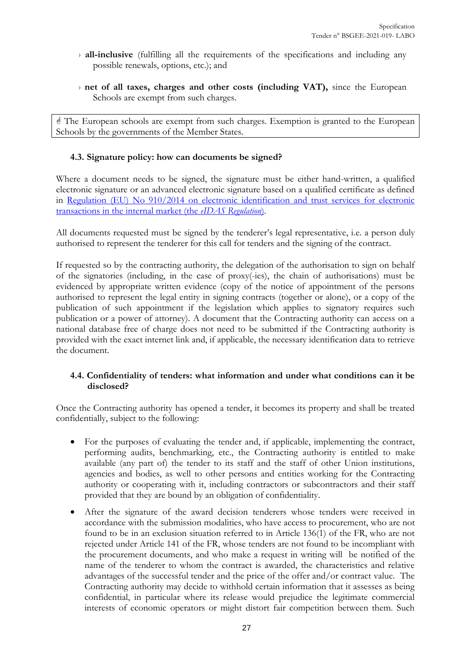- › **all-inclusive** (fulfilling all the requirements of the specifications and including any possible renewals, options, etc.); and
- › **net of all taxes, charges and other costs (including VAT),** since the European Schools are exempt from such charges.

 The European schools are exempt from such charges. Exemption is granted to the European Schools by the governments of the Member States.

#### <span id="page-26-0"></span>**4.3. Signature policy: how can documents be signed?**

Where a document needs to be signed, the signature must be either hand-written, a qualified electronic signature or an advanced electronic signature based on a qualified certificate as defined in [Regulation \(EU\) No 910/2014 on electronic identification and trust services for electronic](https://eur-lex.europa.eu/legal-content/EN/TXT/?uri=uriserv%3AOJ.L_.2014.257.01.0073.01.ENG)  [transactions in the internal market \(the](https://eur-lex.europa.eu/legal-content/EN/TXT/?uri=uriserv%3AOJ.L_.2014.257.01.0073.01.ENG) *eIDAS Regulation*).

All documents requested must be signed by the tenderer's legal representative, i.e. a person duly authorised to represent the tenderer for this call for tenders and the signing of the contract.

If requested so by the contracting authority, the delegation of the authorisation to sign on behalf of the signatories (including, in the case of proxy(-ies), the chain of authorisations) must be evidenced by appropriate written evidence (copy of the notice of appointment of the persons authorised to represent the legal entity in signing contracts (together or alone), or a copy of the publication of such appointment if the legislation which applies to signatory requires such publication or a power of attorney). A document that the Contracting authority can access on a national database free of charge does not need to be submitted if the Contracting authority is provided with the exact internet link and, if applicable, the necessary identification data to retrieve the document.

#### <span id="page-26-1"></span>**4.4. Confidentiality of tenders: what information and under what conditions can it be disclosed?**

Once the Contracting authority has opened a tender, it becomes its property and shall be treated confidentially, subject to the following:

- For the purposes of evaluating the tender and, if applicable, implementing the contract, performing audits, benchmarking, etc., the Contracting authority is entitled to make available (any part of) the tender to its staff and the staff of other Union institutions, agencies and bodies, as well to other persons and entities working for the Contracting authority or cooperating with it, including contractors or subcontractors and their staff provided that they are bound by an obligation of confidentiality.
- After the signature of the award decision tenderers whose tenders were received in accordance with the submission modalities, who have access to procurement, who are not found to be in an exclusion situation referred to in Article 136(1) of the FR, who are not rejected under Article 141 of the FR, whose tenders are not found to be incompliant with the procurement documents, and who make a request in writing will be notified of the name of the tenderer to whom the contract is awarded, the characteristics and relative advantages of the successful tender and the price of the offer and/or contract value. The Contracting authority may decide to withhold certain information that it assesses as being confidential, in particular where its release would prejudice the legitimate commercial interests of economic operators or might distort fair competition between them. Such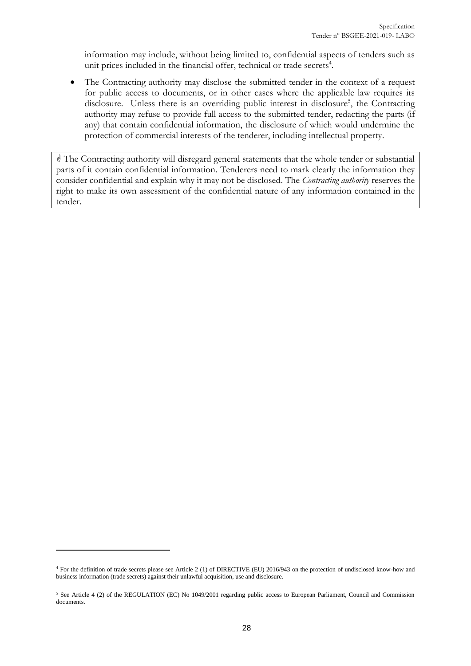information may include, without being limited to, confidential aspects of tenders such as unit prices included in the financial offer, technical or trade secrets<sup>4</sup>.

The Contracting authority may disclose the submitted tender in the context of a request for public access to documents, or in other cases where the applicable law requires its disclosure. Unless there is an overriding public interest in disclosure<sup>5</sup>, the Contracting authority may refuse to provide full access to the submitted tender, redacting the parts (if any) that contain confidential information, the disclosure of which would undermine the protection of commercial interests of the tenderer, including intellectual property.

 The Contracting authority will disregard general statements that the whole tender or substantial parts of it contain confidential information. Tenderers need to mark clearly the information they consider confidential and explain why it may not be disclosed. The *Contracting authority* reserves the right to make its own assessment of the confidential nature of any information contained in the tender.

 $\overline{a}$ 

<sup>4</sup> For the definition of trade secrets please see Article 2 (1) of DIRECTIVE (EU) 2016/943 on the protection of undisclosed know-how and business information (trade secrets) against their unlawful acquisition, use and disclosure.

<sup>&</sup>lt;sup>5</sup> See Article 4 (2) of the REGULATION (EC) No 1049/2001 regarding public access to European Parliament, Council and Commission documents.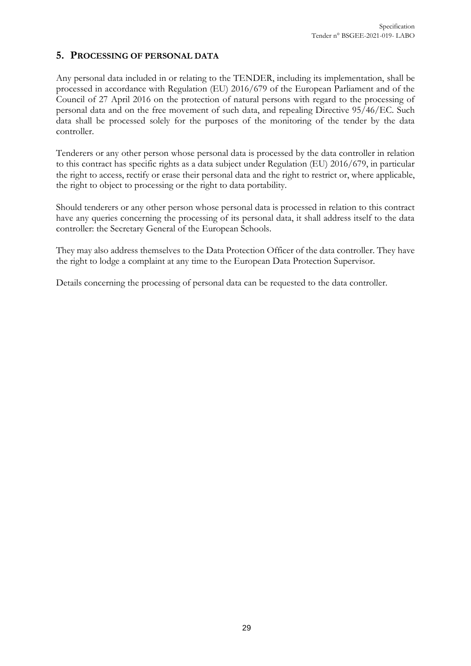#### <span id="page-28-0"></span>**5. PROCESSING OF PERSONAL DATA**

Any personal data included in or relating to the TENDER, including its implementation, shall be processed in accordance with Regulation (EU) 2016/679 of the European Parliament and of the Council of 27 April 2016 on the protection of natural persons with regard to the processing of personal data and on the free movement of such data, and repealing Directive 95/46/EC. Such data shall be processed solely for the purposes of the monitoring of the tender by the data controller.

Tenderers or any other person whose personal data is processed by the data controller in relation to this contract has specific rights as a data subject under Regulation (EU) 2016/679, in particular the right to access, rectify or erase their personal data and the right to restrict or, where applicable, the right to object to processing or the right to data portability.

Should tenderers or any other person whose personal data is processed in relation to this contract have any queries concerning the processing of its personal data, it shall address itself to the data controller: the Secretary General of the European Schools.

They may also address themselves to the Data Protection Officer of the data controller. They have the right to lodge a complaint at any time to the European Data Protection Supervisor.

Details concerning the processing of personal data can be requested to the data controller.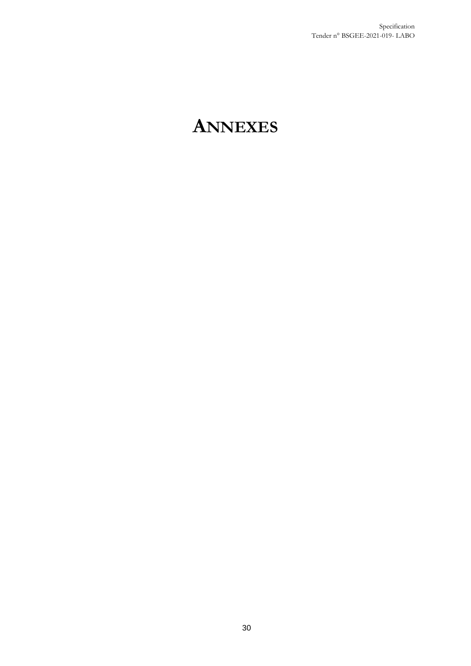# <span id="page-29-0"></span>**ANNEXES**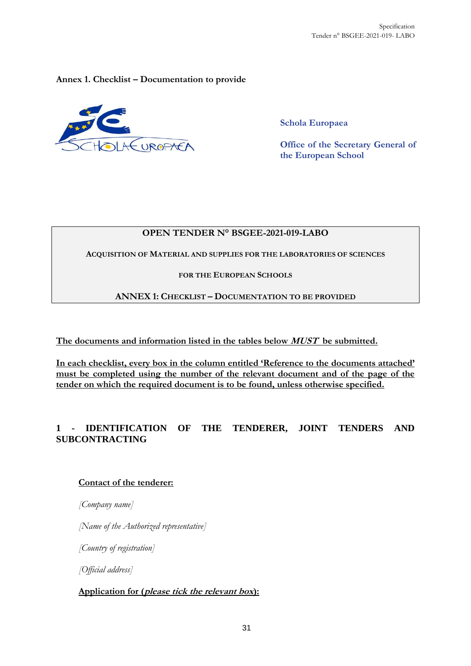<span id="page-30-0"></span>**Annex 1. Checklist – Documentation to provide**



**Schola Europaea**

**Office of the Secretary General of the European School**

#### **OPEN TENDER N° BSGEE-2021-019-LABO**

**ACQUISITION OF MATERIAL AND SUPPLIES FOR THE LABORATORIES OF SCIENCES**

#### **FOR THE EUROPEAN SCHOOLS**

#### **ANNEX 1: CHECKLIST – DOCUMENTATION TO BE PROVIDED**

**The documents and information listed in the tables below MUST be submitted.** 

**In each checklist, every box in the column entitled 'Reference to the documents attached' must be completed using the number of the relevant document and of the page of the tender on which the required document is to be found, unless otherwise specified.**

### **1 - IDENTIFICATION OF THE TENDERER, JOINT TENDERS AND SUBCONTRACTING**

#### **Contact of the tenderer:**

*[Company name]* 

*[Name of the Authorized representative]*

*[Country of registration]*

*[Official address]*

#### **Application for (please tick the relevant box):**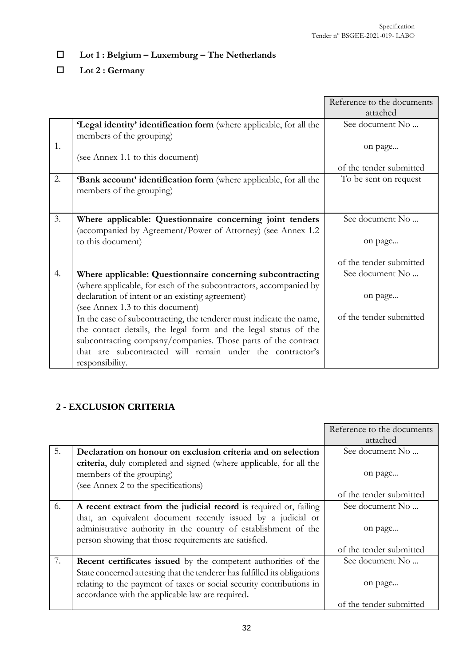# **Lot 1 : Belgium – Luxemburg – The Netherlands**

**Lot 2 : Germany**

|    |                                                                         | Reference to the documents |
|----|-------------------------------------------------------------------------|----------------------------|
|    |                                                                         | attached                   |
|    | 'Legal identity' identification form (where applicable, for all the     | See document No            |
|    | members of the grouping)                                                |                            |
| 1. |                                                                         | on page                    |
|    | (see Annex 1.1 to this document)                                        |                            |
|    |                                                                         | of the tender submitted    |
| 2. | <b>Bank account' identification form</b> (where applicable, for all the | To be sent on request      |
|    | members of the grouping)                                                |                            |
|    |                                                                         |                            |
|    |                                                                         |                            |
| 3. | Where applicable: Questionnaire concerning joint tenders                | See document No            |
|    | (accompanied by Agreement/Power of Attorney) (see Annex 1.2)            |                            |
|    | to this document)                                                       | on page                    |
|    |                                                                         |                            |
|    |                                                                         | of the tender submitted    |
| 4. | Where applicable: Questionnaire concerning subcontracting               | See document No            |
|    | (where applicable, for each of the subcontractors, accompanied by       |                            |
|    | declaration of intent or an existing agreement)                         | on page                    |
|    | (see Annex 1.3 to this document)                                        |                            |
|    | In the case of subcontracting, the tenderer must indicate the name,     | of the tender submitted    |
|    | the contact details, the legal form and the legal status of the         |                            |
|    | subcontracting company/companies. Those parts of the contract           |                            |
|    | that are subcontracted will remain under the contractor's               |                            |
|    | responsibility.                                                         |                            |

# **2 - EXCLUSION CRITERIA**

|    |                                                                           | Reference to the documents |
|----|---------------------------------------------------------------------------|----------------------------|
|    |                                                                           | attached                   |
| 5. | Declaration on honour on exclusion criteria and on selection              | See document No            |
|    | criteria, duly completed and signed (where applicable, for all the        |                            |
|    | members of the grouping)                                                  | on page                    |
|    | (see Annex 2 to the specifications)                                       |                            |
|    |                                                                           | of the tender submitted    |
| 6. | A recent extract from the judicial record is required or, failing         | See document No            |
|    | that, an equivalent document recently issued by a judicial or             |                            |
|    | administrative authority in the country of establishment of the           | on page                    |
|    | person showing that those requirements are satisfied.                     |                            |
|    |                                                                           | of the tender submitted    |
| 7. | <b>Recent certificates issued</b> by the competent authorities of the     | See document No            |
|    | State concerned attesting that the tenderer has fulfilled its obligations |                            |
|    | relating to the payment of taxes or social security contributions in      | on page                    |
|    | accordance with the applicable law are required.                          |                            |
|    |                                                                           | of the tender submitted    |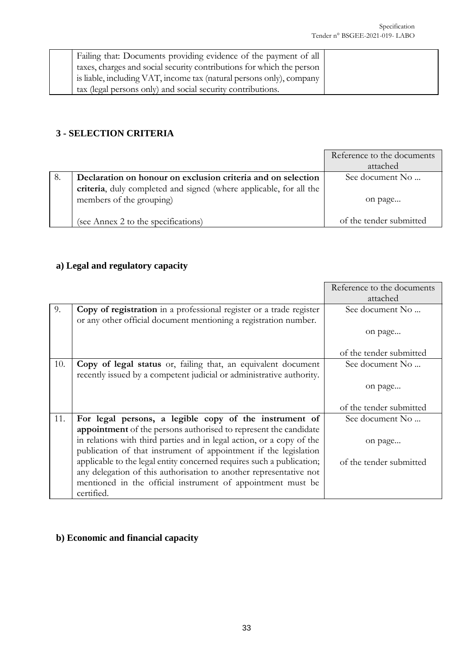| Failing that: Documents providing evidence of the payment of all      |  |
|-----------------------------------------------------------------------|--|
| taxes, charges and social security contributions for which the person |  |
| is liable, including VAT, income tax (natural persons only), company  |  |
| tax (legal persons only) and social security contributions.           |  |

# **3 - SELECTION CRITERIA**

|    |                                                                                                | Reference to the documents<br>attached |
|----|------------------------------------------------------------------------------------------------|----------------------------------------|
| 8. | Declaration on honour on exclusion criteria and on selection                                   | See document No                        |
|    | criteria, duly completed and signed (where applicable, for all the<br>members of the grouping) | on page                                |
|    | (see Annex 2 to the specifications)                                                            | of the tender submitted                |

# **a) Legal and regulatory capacity**

|     |                                                                       | Reference to the documents |
|-----|-----------------------------------------------------------------------|----------------------------|
|     |                                                                       | attached                   |
| 9.  | Copy of registration in a professional register or a trade register   | See document No            |
|     | or any other official document mentioning a registration number.      |                            |
|     |                                                                       | on page                    |
|     |                                                                       | of the tender submitted    |
| 10. | Copy of legal status or, failing that, an equivalent document         | See document No            |
|     | recently issued by a competent judicial or administrative authority.  |                            |
|     |                                                                       | on page                    |
|     |                                                                       | of the tender submitted    |
| 11. |                                                                       |                            |
|     | For legal persons, a legible copy of the instrument of                | See document No            |
|     | appointment of the persons authorised to represent the candidate      |                            |
|     | in relations with third parties and in legal action, or a copy of the | on page                    |
|     | publication of that instrument of appointment if the legislation      |                            |
|     | applicable to the legal entity concerned requires such a publication; | of the tender submitted    |
|     | any delegation of this authorisation to another representative not    |                            |
|     | mentioned in the official instrument of appointment must be           |                            |
|     | certified.                                                            |                            |

# **b) Economic and financial capacity**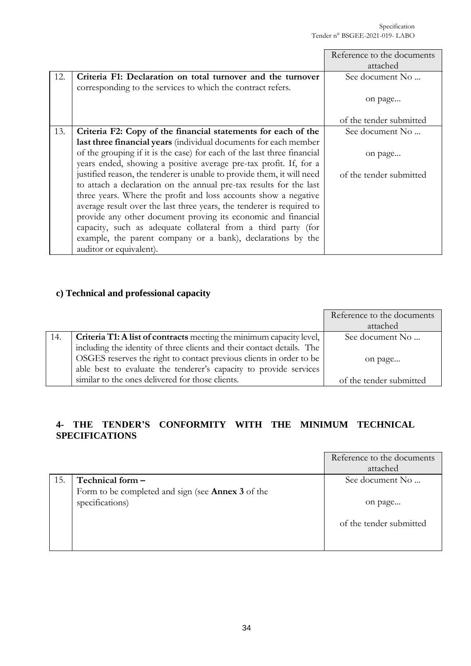|     |                                                                         | Reference to the documents |
|-----|-------------------------------------------------------------------------|----------------------------|
|     |                                                                         | attached                   |
| 12. | Criteria F1: Declaration on total turnover and the turnover             | See document No            |
|     | corresponding to the services to which the contract refers.             |                            |
|     |                                                                         | on page                    |
|     |                                                                         | of the tender submitted    |
| 13. | Criteria F2: Copy of the financial statements for each of the           | See document No            |
|     | last three financial years (individual documents for each member        |                            |
|     | of the grouping if it is the case) for each of the last three financial | on page                    |
|     | years ended, showing a positive average pre-tax profit. If, for a       |                            |
|     | justified reason, the tenderer is unable to provide them, it will need  | of the tender submitted    |
|     | to attach a declaration on the annual pre-tax results for the last      |                            |
|     | three years. Where the profit and loss accounts show a negative         |                            |
|     | average result over the last three years, the tenderer is required to   |                            |
|     | provide any other document proving its economic and financial           |                            |
|     | capacity, such as adequate collateral from a third party (for           |                            |
|     | example, the parent company or a bank), declarations by the             |                            |
|     | auditor or equivalent).                                                 |                            |

# **c) Technical and professional capacity**

|     |                                                                             | Reference to the documents |
|-----|-----------------------------------------------------------------------------|----------------------------|
|     |                                                                             | attached                   |
| 14. | <b>Criteria T1: A list of contracts</b> meeting the minimum capacity level, | See document No            |
|     | including the identity of three clients and their contact details. The      |                            |
|     | OSGES reserves the right to contact previous clients in order to be         | on page                    |
|     | able best to evaluate the tenderer's capacity to provide services           |                            |
|     | similar to the ones delivered for those clients.                            | of the tender submitted    |

# **4- THE TENDER'S CONFORMITY WITH THE MINIMUM TECHNICAL SPECIFICATIONS**

|     |                                                          | Reference to the documents |
|-----|----------------------------------------------------------|----------------------------|
|     |                                                          | attached                   |
| 15. | Technical form -                                         | See document No            |
|     | Form to be completed and sign (see <b>Annex 3</b> of the |                            |
|     | specifications)                                          | on page                    |
|     |                                                          | of the tender submitted    |
|     |                                                          |                            |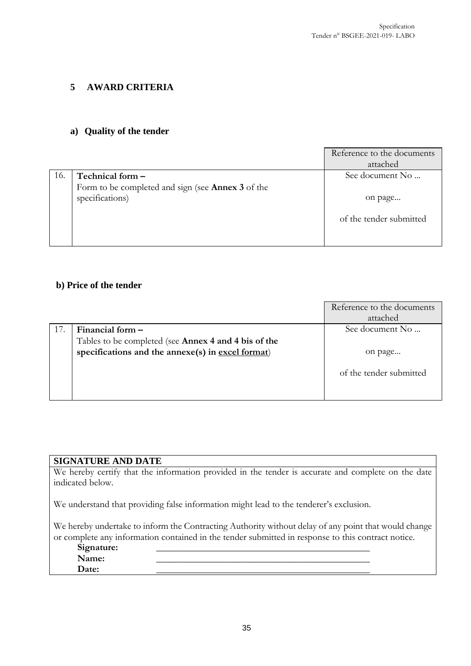#### **5 AWARD CRITERIA**

#### **a) Quality of the tender**

|     |                                                   | Reference to the documents |
|-----|---------------------------------------------------|----------------------------|
|     |                                                   | attached                   |
| 16. | Technical form -                                  | See document No            |
|     | Form to be completed and sign (see Annex 3 of the |                            |
|     | specifications)                                   | on page                    |
|     |                                                   |                            |
|     |                                                   | of the tender submitted    |
|     |                                                   |                            |
|     |                                                   |                            |

#### **b) Price of the tender**

|     |                                                      | Reference to the documents |
|-----|------------------------------------------------------|----------------------------|
|     |                                                      | attached                   |
| 17. | Financial form $-$                                   | See document No            |
|     | Tables to be completed (see Annex 4 and 4 bis of the |                            |
|     | specifications and the annexe(s) in excel format)    | on page                    |
|     |                                                      |                            |
|     |                                                      | of the tender submitted    |
|     |                                                      |                            |
|     |                                                      |                            |

#### **SIGNATURE AND DATE**

We hereby certify that the information provided in the tender is accurate and complete on the date indicated below.

We understand that providing false information might lead to the tenderer's exclusion.

We hereby undertake to inform the Contracting Authority without delay of any point that would change or complete any information contained in the tender submitted in response to this contract notice.

#### Signature:<br>Name: **Name:** \_\_\_\_\_\_\_\_\_\_\_\_\_\_\_\_\_\_\_\_\_\_\_\_\_\_\_\_\_\_\_\_\_\_\_\_\_\_\_\_\_\_\_\_\_

**Date:** \_\_\_\_\_\_\_\_\_\_\_\_\_\_\_\_\_\_\_\_\_\_\_\_\_\_\_\_\_\_\_\_\_\_\_\_\_\_\_\_\_\_\_\_\_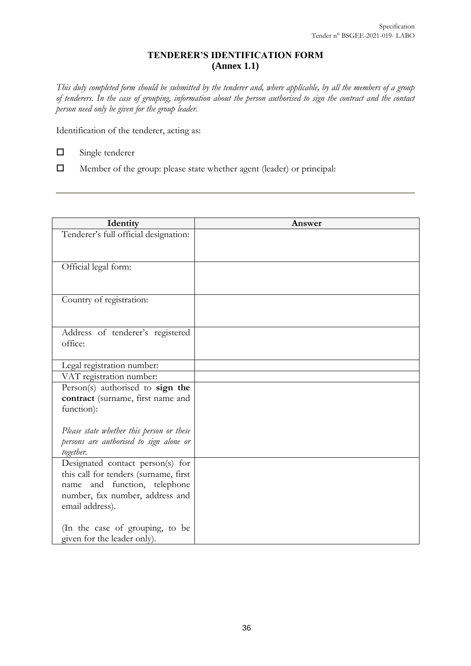#### **TENDERER'S IDENTIFICATION FORM (Annex 1.1)**

*This duly completed form should be submitted by the tenderer and, where applicable, by all the members of a group of tenderers. In the case of grouping, information about the person authorised to sign the contract and the contact person need only be given for the group leader.* 

Identification of the tenderer, acting as:

- Single tenderer
- Member of the group: please state whether agent (leader) or principal:

| Identity                                                                                                                                                        | Answer |
|-----------------------------------------------------------------------------------------------------------------------------------------------------------------|--------|
| Tenderer's full official designation:                                                                                                                           |        |
| Official legal form:                                                                                                                                            |        |
| Country of registration:                                                                                                                                        |        |
| Address of tenderer's registered<br>office:                                                                                                                     |        |
| Legal registration number:                                                                                                                                      |        |
| VAT registration number:                                                                                                                                        |        |
| Person(s) authorised to sign the<br>contract (surname, first name and<br>function):                                                                             |        |
| Please state whether this person or these<br>persons are authorised to sign alone or<br>together.                                                               |        |
| Designated contact person(s) for<br>this call for tenders (surname, first<br>name and function, telephone<br>number, fax number, address and<br>email address). |        |
| (In the case of grouping, to be<br>given for the leader only).                                                                                                  |        |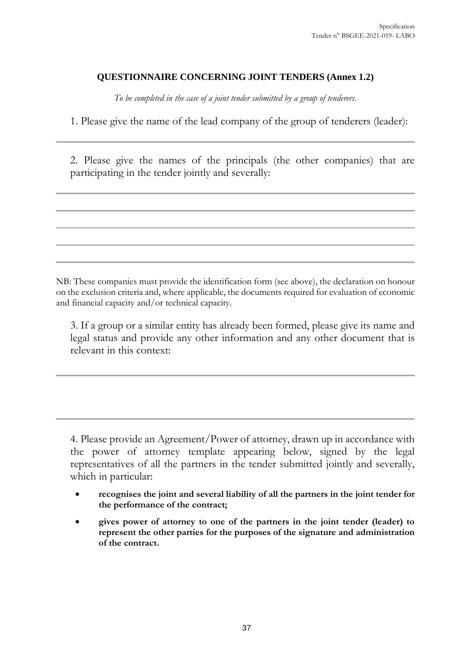### **QUESTIONNAIRE CONCERNING JOINT TENDERS (Annex 1.2)**

*To be completed in the case of a joint tender submitted by a group of tenderers.*

1. Please give the name of the lead company of the group of tenderers (leader):

2. Please give the names of the principals (the other companies) that are participating in the tender jointly and severally:

NB: These companies must provide the identification form (see above), the declaration on honour on the exclusion criteria and, where applicable, the documents required for evaluation of economic and financial capacity and/or technical capacity.

3. If a group or a similar entity has already been formed, please give its name and legal status and provide any other information and any other document that is relevant in this context:

4. Please provide an Agreement/Power of attorney, drawn up in accordance with the power of attorney template appearing below, signed by the legal representatives of all the partners in the tender submitted jointly and severally, which in particular:

- **recognises the joint and several liability of all the partners in the joint tender for the performance of the contract;**
- **gives power of attorney to one of the partners in the joint tender (leader) to represent the other parties for the purposes of the signature and administration of the contract.**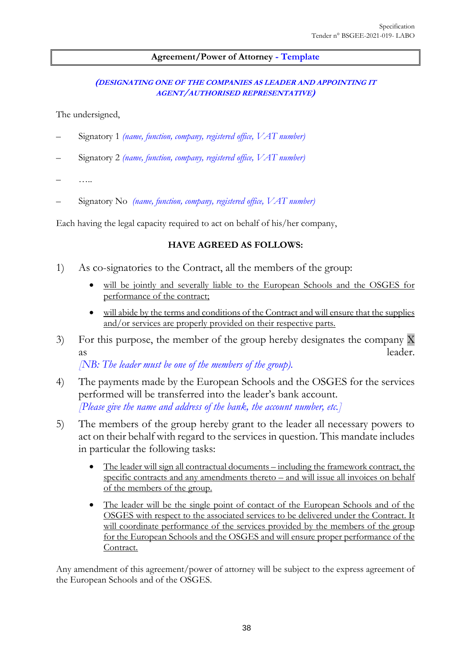#### **Agreement/Power of Attorney - Template**

#### **(DESIGNATING ONE OF THE COMPANIES AS LEADER AND APPOINTING IT AGENT/AUTHORISED REPRESENTATIVE)**

The undersigned,

- Signatory 1 *(name, function, company, registered office, VAT number)*
- Signatory 2 *(name, function, company, registered office, VAT number)*
- …..
- Signatory No *(name, function, company, registered office, VAT number)*

Each having the legal capacity required to act on behalf of his/her company,

#### **HAVE AGREED AS FOLLOWS:**

- 1) As co-signatories to the Contract, all the members of the group:
	- will be jointly and severally liable to the European Schools and the OSGES for performance of the contract;
	- will abide by the terms and conditions of the Contract and will ensure that the supplies and/or services are properly provided on their respective parts.
- 3) For this purpose, the member of the group hereby designates the company X as leader.

*[NB: The leader must be one of the members of the group).* 

- 4) The payments made by the European Schools and the OSGES for the services performed will be transferred into the leader's bank account. *[Please give the name and address of the bank, the account number, etc.]*
- 5) The members of the group hereby grant to the leader all necessary powers to act on their behalf with regard to the services in question. This mandate includes in particular the following tasks:
	- The leader will sign all contractual documents including the framework contract, the specific contracts and any amendments thereto – and will issue all invoices on behalf of the members of the group.
	- The leader will be the single point of contact of the European Schools and of the OSGES with respect to the associated services to be delivered under the Contract. It will coordinate performance of the services provided by the members of the group for the European Schools and the OSGES and will ensure proper performance of the Contract.

Any amendment of this agreement/power of attorney will be subject to the express agreement of the European Schools and of the OSGES.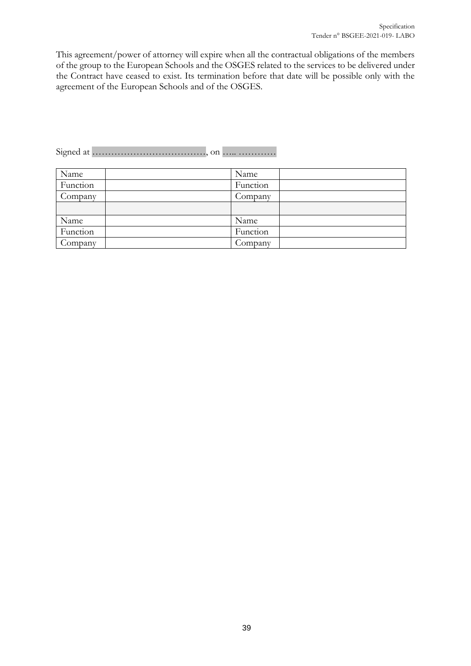This agreement/power of attorney will expire when all the contractual obligations of the members of the group to the European Schools and the OSGES related to the services to be delivered under the Contract have ceased to exist. Its termination before that date will be possible only with the agreement of the European Schools and of the OSGES.

| Name     | Name     |  |
|----------|----------|--|
| Function | Function |  |
| Company  | Company  |  |
|          |          |  |
| Name     | Name     |  |
| Function | Function |  |
| Company  | Company  |  |

Signed at ………………………………, on ….. …………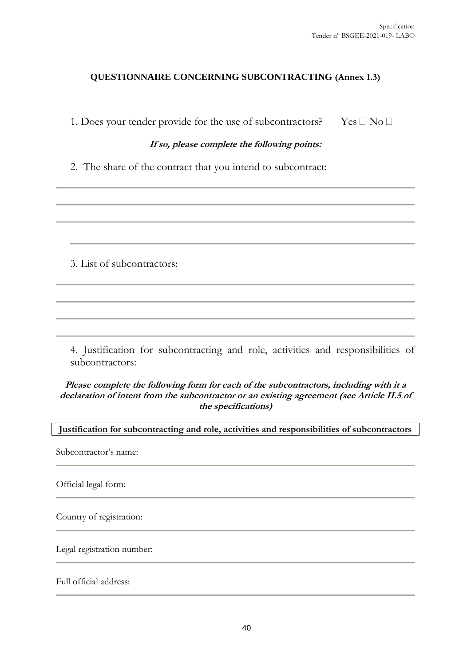#### **QUESTIONNAIRE CONCERNING SUBCONTRACTING (Annex 1.3)**

1. Does your tender provide for the use of subcontractors? Yes  $\Box$  No  $\Box$ 

#### **If so, please complete the following points:**

2. The share of the contract that you intend to subcontract:

3. List of subcontractors:

4. Justification for subcontracting and role, activities and responsibilities of subcontractors:

**Please complete the following form for each of the subcontractors, including with it a declaration of intent from the subcontractor or an existing agreement (see Article II.5 of the specifications)** 

**Justification for subcontracting and role, activities and responsibilities of subcontractors**  Subcontractor's name: Official legal form: Country of registration: Legal registration number: Full official address: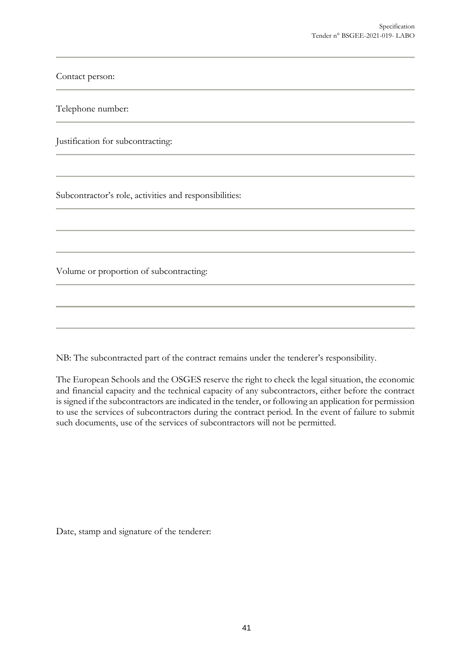Contact person:

Telephone number:

Justification for subcontracting:

Subcontractor's role, activities and responsibilities:

Volume or proportion of subcontracting:

NB: The subcontracted part of the contract remains under the tenderer's responsibility.

The European Schools and the OSGES reserve the right to check the legal situation, the economic and financial capacity and the technical capacity of any subcontractors, either before the contract is signed if the subcontractors are indicated in the tender, or following an application for permission to use the services of subcontractors during the contract period. In the event of failure to submit such documents, use of the services of subcontractors will not be permitted.

Date, stamp and signature of the tenderer: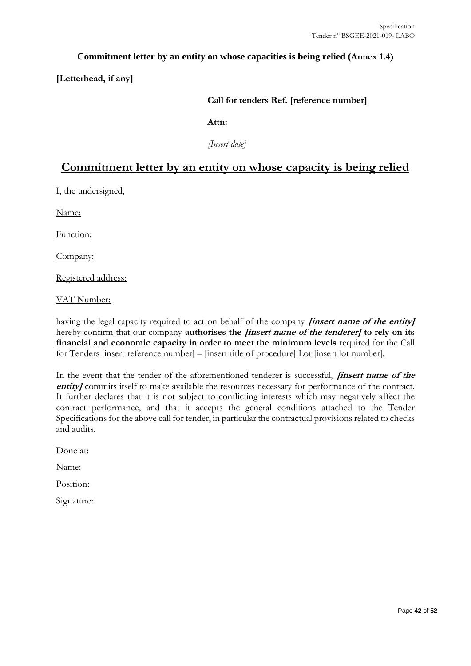#### **Commitment letter by an entity on whose capacities is being relied (Annex 1.4)**

**[Letterhead, if any]**

#### **Call for tenders Ref. [reference number]**

**Attn:** 

*[Insert date]*

# **Commitment letter by an entity on whose capacity is being relied**

I, the undersigned,

Name:

Function:

Company:

Registered address:

VAT Number:

having the legal capacity required to act on behalf of the company **[insert name of the entity]** hereby confirm that our company **authorises the [insert name of the tenderer] to rely on its financial and economic capacity in order to meet the minimum levels** required for the Call for Tenders [insert reference number] – [insert title of procedure] Lot [insert lot number].

In the event that the tender of the aforementioned tenderer is successful, **[insert name of the**  entity] commits itself to make available the resources necessary for performance of the contract. It further declares that it is not subject to conflicting interests which may negatively affect the contract performance, and that it accepts the general conditions attached to the Tender Specifications for the above call for tender, in particular the contractual provisions related to checks and audits.

Done at:

Name:

Position:

Signature: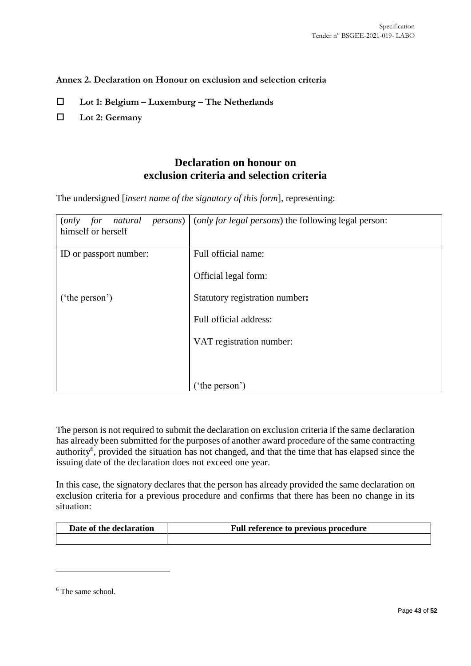<span id="page-42-0"></span>**Annex 2. Declaration on Honour on exclusion and selection criteria**

- **Lot 1: Belgium – Luxemburg – The Netherlands**
- **Lot 2: Germany**

# **Declaration on honour on exclusion criteria and selection criteria**

The undersigned [*insert name of the signatory of this form*], representing:

| natural<br>(only<br>for<br>himself or herself | <i>persons</i> ) ( <i>only for legal persons</i> ) the following legal person: |
|-----------------------------------------------|--------------------------------------------------------------------------------|
| ID or passport number:                        | Full official name:                                                            |
|                                               | Official legal form:                                                           |
| ('the person')                                | Statutory registration number:                                                 |
|                                               | Full official address:                                                         |
|                                               | VAT registration number:                                                       |
|                                               |                                                                                |
|                                               | ('the person')                                                                 |

The person is not required to submit the declaration on exclusion criteria if the same declaration has already been submitted for the purposes of another award procedure of the same contracting authority<sup>6</sup>, provided the situation has not changed, and that the time that has elapsed since the issuing date of the declaration does not exceed one year.

In this case, the signatory declares that the person has already provided the same declaration on exclusion criteria for a previous procedure and confirms that there has been no change in its situation:

| Date of the declaration | Full reference to previous procedure |
|-------------------------|--------------------------------------|
|                         |                                      |

 $\overline{a}$ 

<sup>&</sup>lt;sup>6</sup> The same school.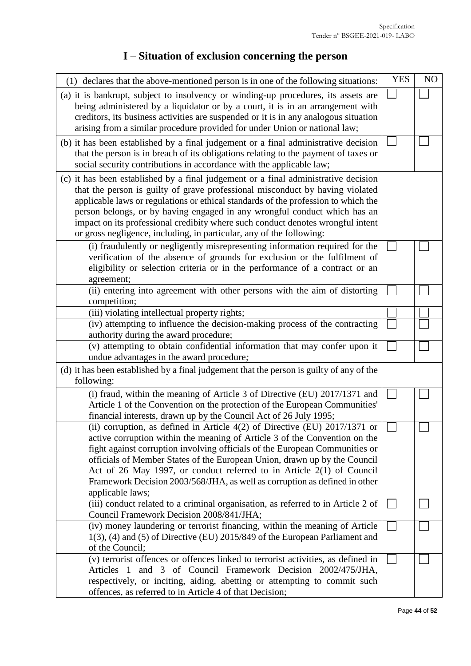# **I – Situation of exclusion concerning the person**

| (1) declares that the above-mentioned person is in one of the following situations:                                                                                                                                                                                                                                                                                                                                                                                                                | <b>YES</b> | N <sub>O</sub> |
|----------------------------------------------------------------------------------------------------------------------------------------------------------------------------------------------------------------------------------------------------------------------------------------------------------------------------------------------------------------------------------------------------------------------------------------------------------------------------------------------------|------------|----------------|
| (a) it is bankrupt, subject to insolvency or winding-up procedures, its assets are<br>being administered by a liquidator or by a court, it is in an arrangement with<br>creditors, its business activities are suspended or it is in any analogous situation<br>arising from a similar procedure provided for under Union or national law;                                                                                                                                                         |            |                |
| (b) it has been established by a final judgement or a final administrative decision<br>that the person is in breach of its obligations relating to the payment of taxes or<br>social security contributions in accordance with the applicable law;                                                                                                                                                                                                                                                 |            |                |
| (c) it has been established by a final judgement or a final administrative decision<br>that the person is guilty of grave professional misconduct by having violated<br>applicable laws or regulations or ethical standards of the profession to which the<br>person belongs, or by having engaged in any wrongful conduct which has an<br>impact on its professional credibity where such conduct denotes wrongful intent<br>or gross negligence, including, in particular, any of the following: |            |                |
| (i) fraudulently or negligently misrepresenting information required for the<br>verification of the absence of grounds for exclusion or the fulfilment of<br>eligibility or selection criteria or in the performance of a contract or an<br>agreement;                                                                                                                                                                                                                                             |            |                |
| (ii) entering into agreement with other persons with the aim of distorting<br>competition;                                                                                                                                                                                                                                                                                                                                                                                                         |            |                |
| (iii) violating intellectual property rights;                                                                                                                                                                                                                                                                                                                                                                                                                                                      |            |                |
| (iv) attempting to influence the decision-making process of the contracting<br>authority during the award procedure;                                                                                                                                                                                                                                                                                                                                                                               |            |                |
| (v) attempting to obtain confidential information that may confer upon it<br>undue advantages in the award procedure;                                                                                                                                                                                                                                                                                                                                                                              |            |                |
| (d) it has been established by a final judgement that the person is guilty of any of the<br>following:                                                                                                                                                                                                                                                                                                                                                                                             |            |                |
| (i) fraud, within the meaning of Article 3 of Directive (EU) 2017/1371 and<br>Article 1 of the Convention on the protection of the European Communities'<br>financial interests, drawn up by the Council Act of 26 July 1995;                                                                                                                                                                                                                                                                      |            |                |
| (ii) corruption, as defined in Article 4(2) of Directive (EU) 2017/1371 or<br>active corruption within the meaning of Article 3 of the Convention on the<br>fight against corruption involving officials of the European Communities or<br>officials of Member States of the European Union, drawn up by the Council<br>Act of 26 May 1997, or conduct referred to in Article $2(1)$ of Council<br>Framework Decision 2003/568/JHA, as well as corruption as defined in other<br>applicable laws;  |            |                |
| (iii) conduct related to a criminal organisation, as referred to in Article 2 of<br>Council Framework Decision 2008/841/JHA;                                                                                                                                                                                                                                                                                                                                                                       |            |                |
| (iv) money laundering or terrorist financing, within the meaning of Article<br>$1(3)$ , (4) and (5) of Directive (EU) 2015/849 of the European Parliament and<br>of the Council;                                                                                                                                                                                                                                                                                                                   |            |                |
| (v) terrorist offences or offences linked to terrorist activities, as defined in<br>and 3 of Council Framework Decision 2002/475/JHA,<br>Articles 1<br>respectively, or inciting, aiding, abetting or attempting to commit such<br>offences, as referred to in Article 4 of that Decision;                                                                                                                                                                                                         |            |                |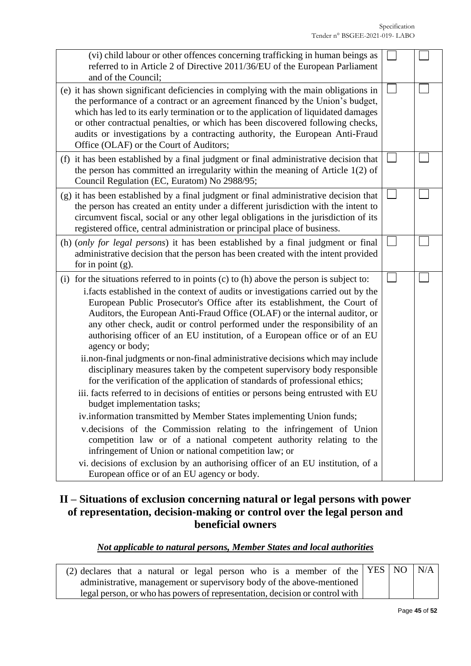| (vi) child labour or other offences concerning trafficking in human beings as<br>referred to in Article 2 of Directive 2011/36/EU of the European Parliament<br>and of the Council;                                                                                                                                                                                                                                                                                                                                                                                                                                                                                                                                                                                                                                                                                                                                                                                                                                                                                                                                                                                                                                                                                                                             |  |
|-----------------------------------------------------------------------------------------------------------------------------------------------------------------------------------------------------------------------------------------------------------------------------------------------------------------------------------------------------------------------------------------------------------------------------------------------------------------------------------------------------------------------------------------------------------------------------------------------------------------------------------------------------------------------------------------------------------------------------------------------------------------------------------------------------------------------------------------------------------------------------------------------------------------------------------------------------------------------------------------------------------------------------------------------------------------------------------------------------------------------------------------------------------------------------------------------------------------------------------------------------------------------------------------------------------------|--|
| (e) it has shown significant deficiencies in complying with the main obligations in<br>the performance of a contract or an agreement financed by the Union's budget,<br>which has led to its early termination or to the application of liquidated damages<br>or other contractual penalties, or which has been discovered following checks,<br>audits or investigations by a contracting authority, the European Anti-Fraud<br>Office (OLAF) or the Court of Auditors;                                                                                                                                                                                                                                                                                                                                                                                                                                                                                                                                                                                                                                                                                                                                                                                                                                         |  |
| (f) it has been established by a final judgment or final administrative decision that<br>the person has committed an irregularity within the meaning of Article $1(2)$ of<br>Council Regulation (EC, Euratom) No 2988/95;                                                                                                                                                                                                                                                                                                                                                                                                                                                                                                                                                                                                                                                                                                                                                                                                                                                                                                                                                                                                                                                                                       |  |
| (g) it has been established by a final judgment or final administrative decision that<br>the person has created an entity under a different jurisdiction with the intent to<br>circumvent fiscal, social or any other legal obligations in the jurisdiction of its<br>registered office, central administration or principal place of business.                                                                                                                                                                                                                                                                                                                                                                                                                                                                                                                                                                                                                                                                                                                                                                                                                                                                                                                                                                 |  |
| (h) (only for legal persons) it has been established by a final judgment or final<br>administrative decision that the person has been created with the intent provided<br>for in point $(g)$ .                                                                                                                                                                                                                                                                                                                                                                                                                                                                                                                                                                                                                                                                                                                                                                                                                                                                                                                                                                                                                                                                                                                  |  |
| (i) for the situations referred to in points (c) to (h) above the person is subject to:<br>i.facts established in the context of audits or investigations carried out by the<br>European Public Prosecutor's Office after its establishment, the Court of<br>Auditors, the European Anti-Fraud Office (OLAF) or the internal auditor, or<br>any other check, audit or control performed under the responsibility of an<br>authorising officer of an EU institution, of a European office or of an EU<br>agency or body;<br>ii.non-final judgments or non-final administrative decisions which may include<br>disciplinary measures taken by the competent supervisory body responsible<br>for the verification of the application of standards of professional ethics;<br>iii. facts referred to in decisions of entities or persons being entrusted with EU<br>budget implementation tasks;<br>iv.information transmitted by Member States implementing Union funds;<br>v.decisions of the Commission relating to the infringement of Union<br>competition law or of a national competent authority relating to the<br>infringement of Union or national competition law; or<br>vi. decisions of exclusion by an authorising officer of an EU institution, of a<br>European office or of an EU agency or body. |  |

# **II – Situations of exclusion concerning natural or legal persons with power of representation, decision-making or control over the legal person and beneficial owners**

# *Not applicable to natural persons, Member States and local authorities*

| (2) declares that a natural or legal person who is a member of the $YES NO N/A$ |  |  |
|---------------------------------------------------------------------------------|--|--|
| administrative, management or supervisory body of the above-mentioned           |  |  |
| legal person, or who has powers of representation, decision or control with     |  |  |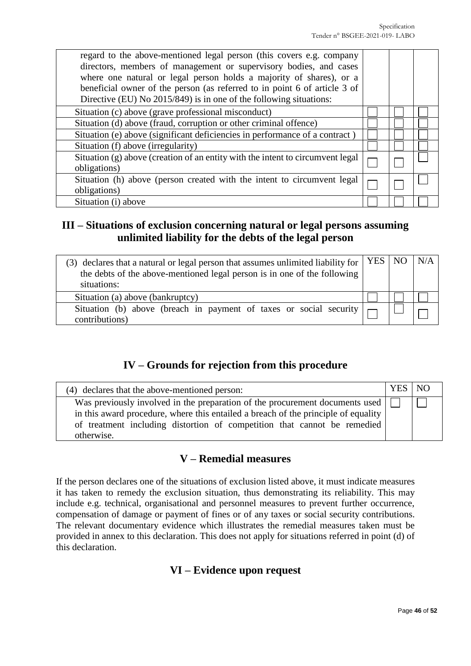| regard to the above-mentioned legal person (this covers e.g. company<br>directors, members of management or supervisory bodies, and cases<br>where one natural or legal person holds a majority of shares), or a<br>beneficial owner of the person (as referred to in point 6 of article 3 of<br>Directive (EU) No 2015/849) is in one of the following situations: |  |  |
|---------------------------------------------------------------------------------------------------------------------------------------------------------------------------------------------------------------------------------------------------------------------------------------------------------------------------------------------------------------------|--|--|
| Situation (c) above (grave professional misconduct)                                                                                                                                                                                                                                                                                                                 |  |  |
| Situation (d) above (fraud, corruption or other criminal offence)                                                                                                                                                                                                                                                                                                   |  |  |
| Situation (e) above (significant deficiencies in performance of a contract)                                                                                                                                                                                                                                                                                         |  |  |
| Situation (f) above (irregularity)                                                                                                                                                                                                                                                                                                                                  |  |  |
| Situation (g) above (creation of an entity with the intent to circumvent legal<br>obligations)                                                                                                                                                                                                                                                                      |  |  |
| Situation (h) above (person created with the intent to circumvent legal<br>obligations)                                                                                                                                                                                                                                                                             |  |  |
| Situation (i) above                                                                                                                                                                                                                                                                                                                                                 |  |  |

# **III – Situations of exclusion concerning natural or legal persons assuming unlimited liability for the debts of the legal person**

| (3) declares that a natural or legal person that assumes unlimited liability for $\vert$ YES $\vert$ NO $\vert$<br>the debts of the above-mentioned legal person is in one of the following<br>situations: |  | N/A |
|------------------------------------------------------------------------------------------------------------------------------------------------------------------------------------------------------------|--|-----|
| Situation (a) above (bankruptcy)                                                                                                                                                                           |  |     |
| Situation (b) above (breach in payment of taxes or social security $\vert \neg$<br>contributions)                                                                                                          |  |     |

# **IV – Grounds for rejection from this procedure**

| (4) declares that the above-mentioned person:                                                                                                                                       | YES   NO |  |
|-------------------------------------------------------------------------------------------------------------------------------------------------------------------------------------|----------|--|
| Was previously involved in the preparation of the procurement documents used $\left  \right $<br>in this award procedure, where this entailed a breach of the principle of equality |          |  |
| of treatment including distortion of competition that cannot be remedied<br>otherwise.                                                                                              |          |  |

# **V – Remedial measures**

If the person declares one of the situations of exclusion listed above, it must indicate measures it has taken to remedy the exclusion situation, thus demonstrating its reliability. This may include e.g. technical, organisational and personnel measures to prevent further occurrence, compensation of damage or payment of fines or of any taxes or social security contributions. The relevant documentary evidence which illustrates the remedial measures taken must be provided in annex to this declaration. This does not apply for situations referred in point (d) of this declaration.

# **VI – Evidence upon request**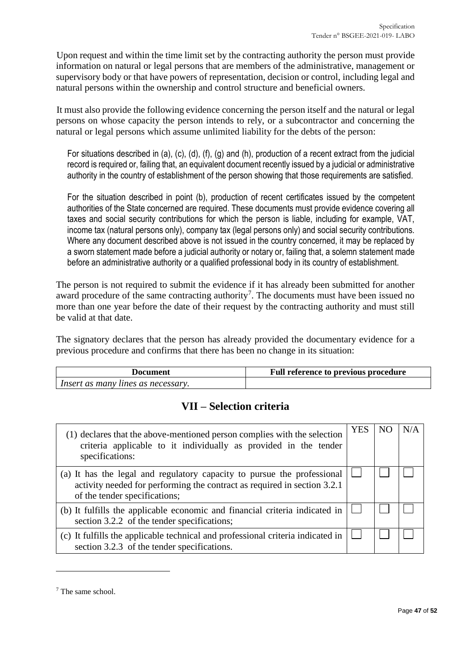Upon request and within the time limit set by the contracting authority the person must provide information on natural or legal persons that are members of the administrative, management or supervisory body or that have powers of representation, decision or control, including legal and natural persons within the ownership and control structure and beneficial owners.

It must also provide the following evidence concerning the person itself and the natural or legal persons on whose capacity the person intends to rely, or a subcontractor and concerning the natural or legal persons which assume unlimited liability for the debts of the person:

For situations described in (a), (c), (d), (f), (g) and (h), production of a recent extract from the judicial record is required or, failing that, an equivalent document recently issued by a judicial or administrative authority in the country of establishment of the person showing that those requirements are satisfied.

For the situation described in point (b), production of recent certificates issued by the competent authorities of the State concerned are required. These documents must provide evidence covering all taxes and social security contributions for which the person is liable, including for example, VAT, income tax (natural persons only), company tax (legal persons only) and social security contributions. Where any document described above is not issued in the country concerned, it may be replaced by a sworn statement made before a judicial authority or notary or, failing that, a solemn statement made before an administrative authority or a qualified professional body in its country of establishment.

The person is not required to submit the evidence if it has already been submitted for another award procedure of the same contracting authority<sup>7</sup>. The documents must have been issued no more than one year before the date of their request by the contracting authority and must still be valid at that date.

The signatory declares that the person has already provided the documentary evidence for a previous procedure and confirms that there has been no change in its situation:

| Document                           | <b>Full reference to previous procedure</b> |
|------------------------------------|---------------------------------------------|
| Insert as many lines as necessary. |                                             |

# **VII – Selection criteria**

| (1) declares that the above-mentioned person complies with the selection<br>criteria applicable to it individually as provided in the tender<br>specifications:                      | <b>YES</b> | N/A |
|--------------------------------------------------------------------------------------------------------------------------------------------------------------------------------------|------------|-----|
| (a) It has the legal and regulatory capacity to pursue the professional<br>activity needed for performing the contract as required in section 3.2.1<br>of the tender specifications; |            |     |
| (b) It fulfills the applicable economic and financial criteria indicated in<br>section 3.2.2 of the tender specifications;                                                           |            |     |
| (c) It fulfills the applicable technical and professional criteria indicated in<br>section 3.2.3 of the tender specifications.                                                       |            |     |

 $\overline{a}$ 

<sup>7</sup> The same school.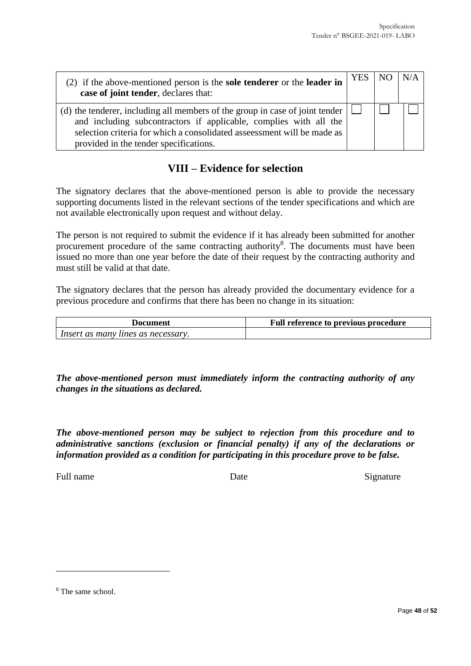| (2) if the above-mentioned person is the <b>sole tenderer</b> or the <b>leader in</b><br>case of joint tender, declares that:                                                                                                                                          | <b>YES</b> | N/A |
|------------------------------------------------------------------------------------------------------------------------------------------------------------------------------------------------------------------------------------------------------------------------|------------|-----|
| (d) the tenderer, including all members of the group in case of joint tender<br>and including subcontractors if applicable, complies with all the<br>selection criteria for which a consolidated asseessment will be made as<br>provided in the tender specifications. |            |     |

# **VIII – Evidence for selection**

The signatory declares that the above-mentioned person is able to provide the necessary supporting documents listed in the relevant sections of the tender specifications and which are not available electronically upon request and without delay.

The person is not required to submit the evidence if it has already been submitted for another procurement procedure of the same contracting authority<sup>8</sup>. The documents must have been issued no more than one year before the date of their request by the contracting authority and must still be valid at that date.

The signatory declares that the person has already provided the documentary evidence for a previous procedure and confirms that there has been no change in its situation:

| Document                           | <b>Full reference to previous procedure</b> |
|------------------------------------|---------------------------------------------|
| Insert as many lines as necessary. |                                             |

*The above-mentioned person must immediately inform the contracting authority of any changes in the situations as declared.*

*The above-mentioned person may be subject to rejection from this procedure and to administrative sanctions (exclusion or financial penalty) if any of the declarations or information provided as a condition for participating in this procedure prove to be false.*

Full name Signature Date Date Signature

 $\overline{a}$ 

<sup>8</sup> The same school.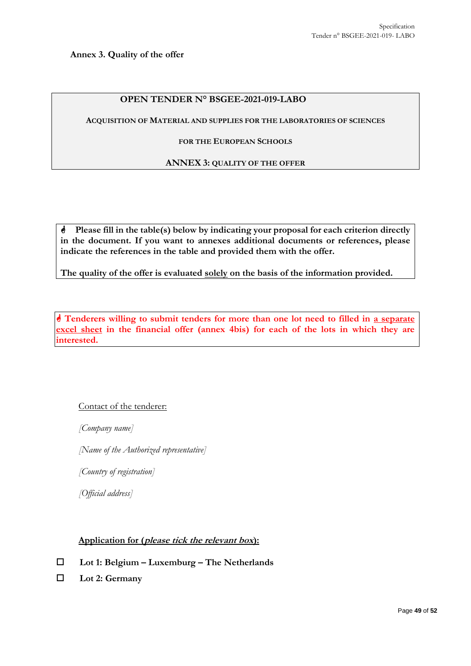<span id="page-48-0"></span>**Annex 3. Quality of the offer** 

#### **OPEN TENDER N° BSGEE-2021-019-LABO**

**ACQUISITION OF MATERIAL AND SUPPLIES FOR THE LABORATORIES OF SCIENCES**

#### **FOR THE EUROPEAN SCHOOLS**

#### **ANNEX 3: QUALITY OF THE OFFER**

**Please fill in the table(s) below by indicating your proposal for each criterion directly in the document. If you want to annexes additional documents or references, please indicate the references in the table and provided them with the offer.**

**The quality of the offer is evaluated solely on the basis of the information provided.**

 **Tenderers willing to submit tenders for more than one lot need to filled in a separate excel sheet in the financial offer (annex 4bis) for each of the lots in which they are interested.** 

#### Contact of the tenderer:

*[Company name]* 

*[Name of the Authorized representative]*

*[Country of registration]*

*[Official address]*

#### **Application for (please tick the relevant box):**

- **Lot 1: Belgium – Luxemburg – The Netherlands**
- **Lot 2: Germany**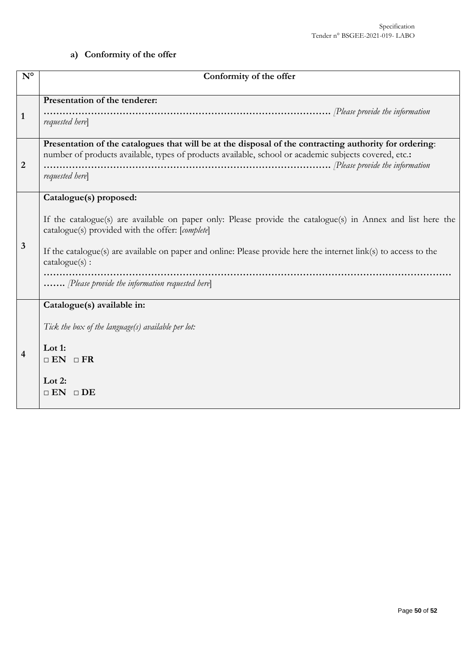# **a) Conformity of the offer**

| $\mathbf{N}^{\mathsf{o}}$ | Conformity of the offer                                                                                                                                                                                                                                                                                                                                                         |
|---------------------------|---------------------------------------------------------------------------------------------------------------------------------------------------------------------------------------------------------------------------------------------------------------------------------------------------------------------------------------------------------------------------------|
| 1                         | Presentation of the tenderer:<br>requested here                                                                                                                                                                                                                                                                                                                                 |
| $\overline{2}$            | Presentation of the catalogues that will be at the disposal of the contracting authority for ordering:<br>number of products available, types of products available, school or academic subjects covered, etc.:<br>requested here                                                                                                                                               |
| $\mathbf{3}$              | Catalogue(s) proposed:<br>If the catalogue(s) are available on paper only: Please provide the catalogue(s) in Annex and list here the<br>catalogue(s) provided with the offer: [complete]<br>If the catalogue(s) are available on paper and online: Please provide here the internet link(s) to access to the<br>catalogue(s):<br>Please provide the information requested here |
| 4                         | Catalogue(s) available in:<br>Tick the box of the language(s) available per lot:<br>Lot 1:<br>$\Box$ EN $\Box$ FR<br>Lot 2:<br>$\sqcap$ EN<br>$\Box$ DE                                                                                                                                                                                                                         |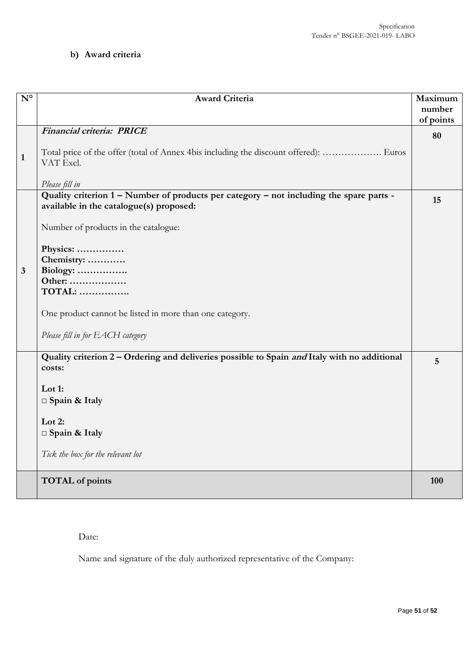# **b) Award criteria**

| $N^{\circ}$  | <b>Award Criteria</b>                                                                                                              | Maximum             |
|--------------|------------------------------------------------------------------------------------------------------------------------------------|---------------------|
|              |                                                                                                                                    | number<br>of points |
|              | Financial criteria: PRICE                                                                                                          | 80                  |
|              |                                                                                                                                    |                     |
| $\mathbf{1}$ | Total price of the offer (total of Annex 4bis including the discount offered):  Euros<br>VAT Excl.                                 |                     |
|              |                                                                                                                                    |                     |
|              | Please fill in                                                                                                                     |                     |
|              | Quality criterion 1 - Number of products per category - not including the spare parts -<br>available in the catalogue(s) proposed: | 15                  |
|              |                                                                                                                                    |                     |
|              | Number of products in the catalogue:                                                                                               |                     |
|              | Physics:                                                                                                                           |                     |
|              | Chemistry:                                                                                                                         |                     |
| 3            | Biology:                                                                                                                           |                     |
|              | Other:                                                                                                                             |                     |
|              | <b>TOTAL: </b>                                                                                                                     |                     |
|              | One product cannot be listed in more than one category.                                                                            |                     |
|              | Please fill in for EACH category                                                                                                   |                     |
|              | Quality criterion 2 - Ordering and deliveries possible to Spain and Italy with no additional                                       | 5                   |
|              | costs:                                                                                                                             |                     |
|              | Lot 1:                                                                                                                             |                     |
|              | $\Box$ Spain & Italy                                                                                                               |                     |
|              |                                                                                                                                    |                     |
|              | Lot $2$ :                                                                                                                          |                     |
|              | $\Box$ Spain & Italy                                                                                                               |                     |
|              | Tick the box for the relevant lot                                                                                                  |                     |
|              | <b>TOTAL</b> of points                                                                                                             | 100                 |
|              |                                                                                                                                    |                     |

Date:

Name and signature of the duly authorized representative of the Company: